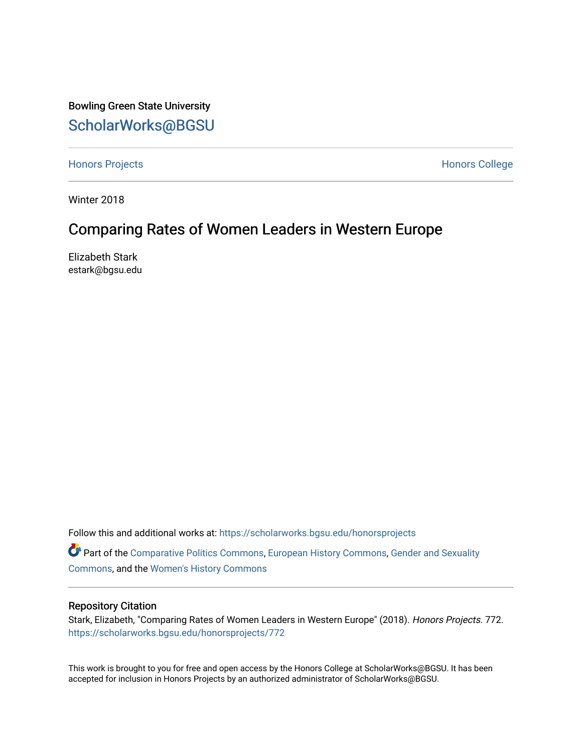Bowling Green State University [ScholarWorks@BGSU](https://scholarworks.bgsu.edu/) 

[Honors Projects](https://scholarworks.bgsu.edu/honorsprojects) **Honors** College

Winter 2018

# Comparing Rates of Women Leaders in Western Europe

Elizabeth Stark estark@bgsu.edu

Follow this and additional works at: [https://scholarworks.bgsu.edu/honorsprojects](https://scholarworks.bgsu.edu/honorsprojects?utm_source=scholarworks.bgsu.edu%2Fhonorsprojects%2F772&utm_medium=PDF&utm_campaign=PDFCoverPages) 

Part of the [Comparative Politics Commons,](http://network.bepress.com/hgg/discipline/388?utm_source=scholarworks.bgsu.edu%2Fhonorsprojects%2F772&utm_medium=PDF&utm_campaign=PDFCoverPages) [European History Commons,](http://network.bepress.com/hgg/discipline/492?utm_source=scholarworks.bgsu.edu%2Fhonorsprojects%2F772&utm_medium=PDF&utm_campaign=PDFCoverPages) [Gender and Sexuality](http://network.bepress.com/hgg/discipline/420?utm_source=scholarworks.bgsu.edu%2Fhonorsprojects%2F772&utm_medium=PDF&utm_campaign=PDFCoverPages)  [Commons](http://network.bepress.com/hgg/discipline/420?utm_source=scholarworks.bgsu.edu%2Fhonorsprojects%2F772&utm_medium=PDF&utm_campaign=PDFCoverPages), and the [Women's History Commons](http://network.bepress.com/hgg/discipline/507?utm_source=scholarworks.bgsu.edu%2Fhonorsprojects%2F772&utm_medium=PDF&utm_campaign=PDFCoverPages) 

#### Repository Citation

Stark, Elizabeth, "Comparing Rates of Women Leaders in Western Europe" (2018). Honors Projects. 772. [https://scholarworks.bgsu.edu/honorsprojects/772](https://scholarworks.bgsu.edu/honorsprojects/772?utm_source=scholarworks.bgsu.edu%2Fhonorsprojects%2F772&utm_medium=PDF&utm_campaign=PDFCoverPages) 

This work is brought to you for free and open access by the Honors College at ScholarWorks@BGSU. It has been accepted for inclusion in Honors Projects by an authorized administrator of ScholarWorks@BGSU.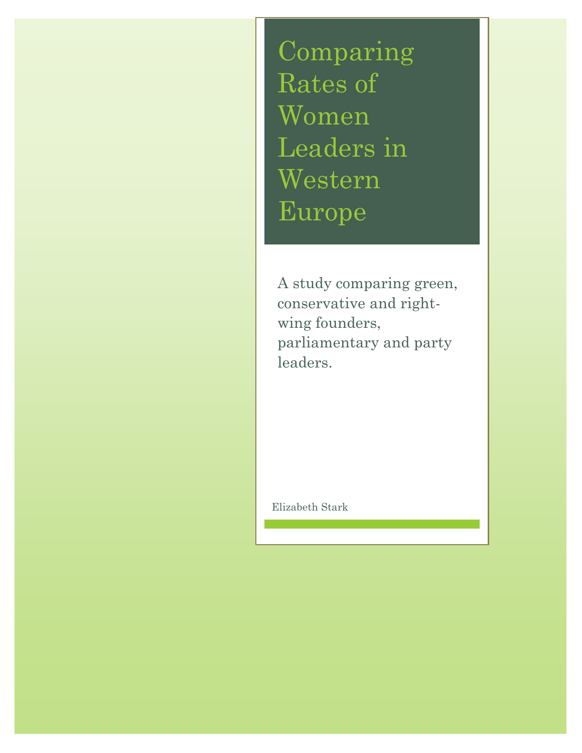Comparing Rates of Women Leaders in Western Europe

A study comparing green, conservative and rightwing founders, parliamentary and party leaders.

Elizabeth Stark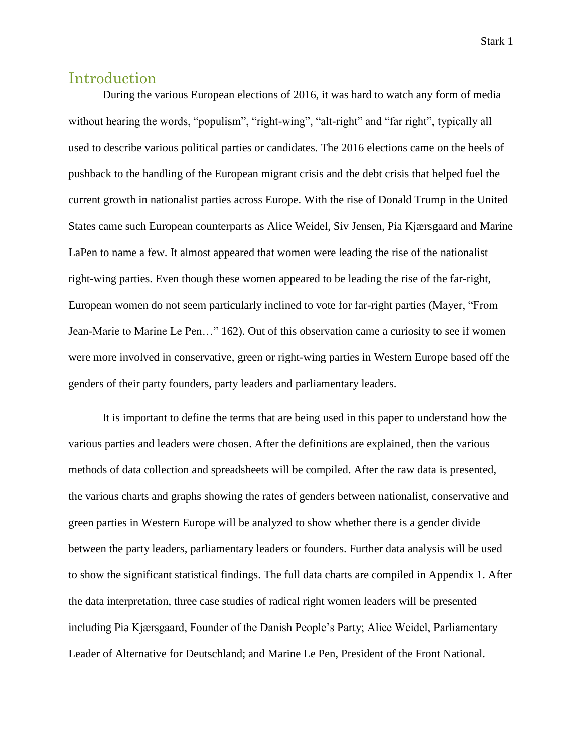## Introduction

During the various European elections of 2016, it was hard to watch any form of media without hearing the words, "populism", "right-wing", "alt-right" and "far right", typically all used to describe various political parties or candidates. The 2016 elections came on the heels of pushback to the handling of the European migrant crisis and the debt crisis that helped fuel the current growth in nationalist parties across Europe. With the rise of Donald Trump in the United States came such European counterparts as Alice Weidel, Siv Jensen, Pia Kjærsgaard and Marine LaPen to name a few. It almost appeared that women were leading the rise of the nationalist right-wing parties. Even though these women appeared to be leading the rise of the far-right, European women do not seem particularly inclined to vote for far-right parties (Mayer, "From Jean-Marie to Marine Le Pen…" 162). Out of this observation came a curiosity to see if women were more involved in conservative, green or right-wing parties in Western Europe based off the genders of their party founders, party leaders and parliamentary leaders.

It is important to define the terms that are being used in this paper to understand how the various parties and leaders were chosen. After the definitions are explained, then the various methods of data collection and spreadsheets will be compiled. After the raw data is presented, the various charts and graphs showing the rates of genders between nationalist, conservative and green parties in Western Europe will be analyzed to show whether there is a gender divide between the party leaders, parliamentary leaders or founders. Further data analysis will be used to show the significant statistical findings. The full data charts are compiled in Appendix 1. After the data interpretation, three case studies of radical right women leaders will be presented including Pia Kjærsgaard, Founder of the Danish People's Party; Alice Weidel, Parliamentary Leader of Alternative for Deutschland; and Marine Le Pen, President of the Front National.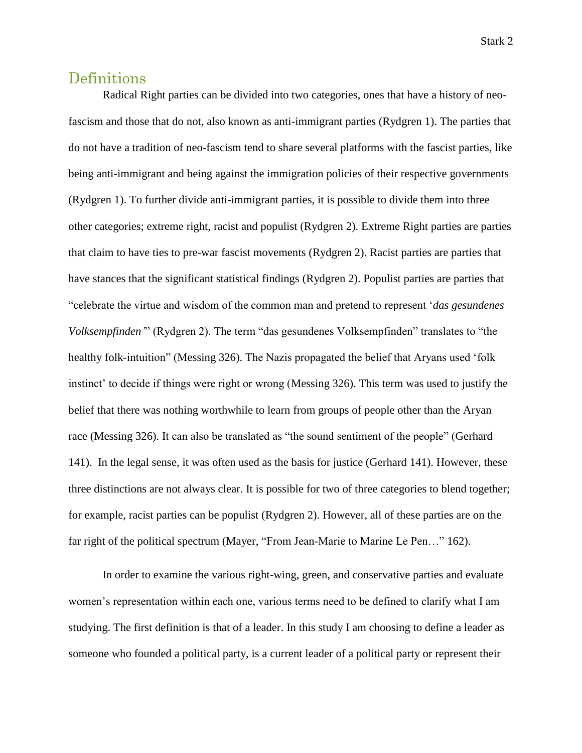## Definitions

Radical Right parties can be divided into two categories, ones that have a history of neofascism and those that do not, also known as anti-immigrant parties (Rydgren 1). The parties that do not have a tradition of neo-fascism tend to share several platforms with the fascist parties, like being anti-immigrant and being against the immigration policies of their respective governments (Rydgren 1). To further divide anti-immigrant parties, it is possible to divide them into three other categories; extreme right, racist and populist (Rydgren 2). Extreme Right parties are parties that claim to have ties to pre-war fascist movements (Rydgren 2). Racist parties are parties that have stances that the significant statistical findings (Rydgren 2). Populist parties are parties that "celebrate the virtue and wisdom of the common man and pretend to represent '*das gesundenes Volksempfinden'*" (Rydgren 2). The term "das gesundenes Volksempfinden" translates to "the healthy folk-intuition" (Messing 326). The Nazis propagated the belief that Aryans used 'folk instinct' to decide if things were right or wrong (Messing 326). This term was used to justify the belief that there was nothing worthwhile to learn from groups of people other than the Aryan race (Messing 326). It can also be translated as "the sound sentiment of the people" (Gerhard 141). In the legal sense, it was often used as the basis for justice (Gerhard 141). However, these three distinctions are not always clear. It is possible for two of three categories to blend together; for example, racist parties can be populist (Rydgren 2). However, all of these parties are on the far right of the political spectrum (Mayer, "From Jean-Marie to Marine Le Pen…" 162).

In order to examine the various right-wing, green, and conservative parties and evaluate women's representation within each one, various terms need to be defined to clarify what I am studying. The first definition is that of a leader. In this study I am choosing to define a leader as someone who founded a political party, is a current leader of a political party or represent their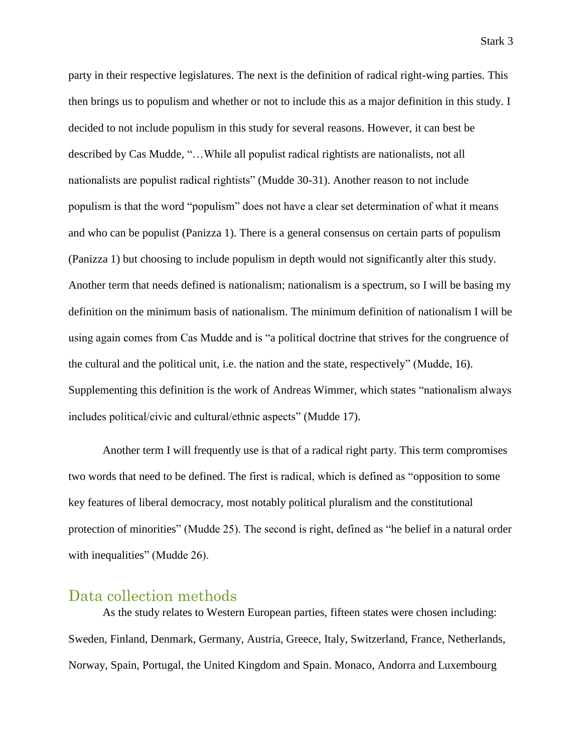party in their respective legislatures. The next is the definition of radical right-wing parties. This then brings us to populism and whether or not to include this as a major definition in this study. I decided to not include populism in this study for several reasons. However, it can best be described by Cas Mudde, "…While all populist radical rightists are nationalists, not all nationalists are populist radical rightists" (Mudde 30-31). Another reason to not include populism is that the word "populism" does not have a clear set determination of what it means and who can be populist (Panizza 1). There is a general consensus on certain parts of populism (Panizza 1) but choosing to include populism in depth would not significantly alter this study. Another term that needs defined is nationalism; nationalism is a spectrum, so I will be basing my definition on the minimum basis of nationalism. The minimum definition of nationalism I will be using again comes from Cas Mudde and is "a political doctrine that strives for the congruence of the cultural and the political unit, i.e. the nation and the state, respectively" (Mudde, 16). Supplementing this definition is the work of Andreas Wimmer, which states "nationalism always includes political/civic and cultural/ethnic aspects" (Mudde 17).

Another term I will frequently use is that of a radical right party. This term compromises two words that need to be defined. The first is radical, which is defined as "opposition to some key features of liberal democracy, most notably political pluralism and the constitutional protection of minorities" (Mudde 25). The second is right, defined as "he belief in a natural order with inequalities" (Mudde 26).

### Data collection methods

As the study relates to Western European parties, fifteen states were chosen including: Sweden, Finland, Denmark, Germany, Austria, Greece, Italy, Switzerland, France, Netherlands, Norway, Spain, Portugal, the United Kingdom and Spain. Monaco, Andorra and Luxembourg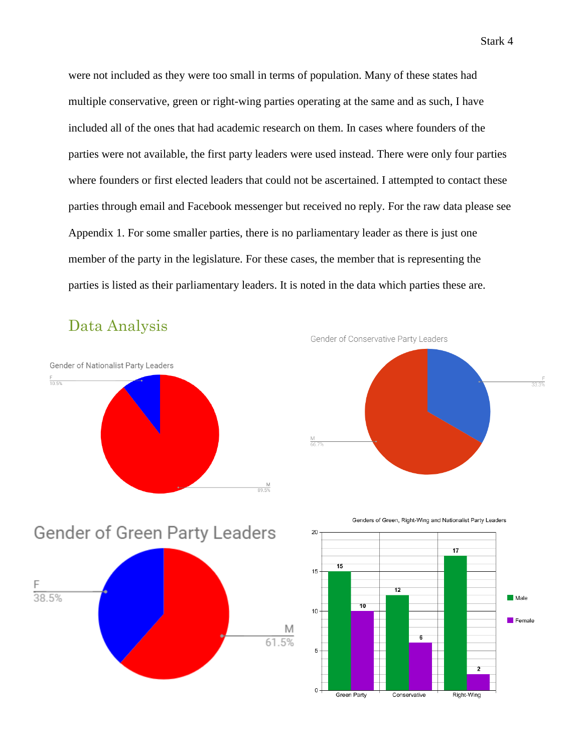were not included as they were too small in terms of population. Many of these states had multiple conservative, green or right-wing parties operating at the same and as such, I have included all of the ones that had academic research on them. In cases where founders of the parties were not available, the first party leaders were used instead. There were only four parties where founders or first elected leaders that could not be ascertained. I attempted to contact these parties through email and Facebook messenger but received no reply. For the raw data please see Appendix 1. For some smaller parties, there is no parliamentary leader as there is just one member of the party in the legislature. For these cases, the member that is representing the parties is listed as their parliamentary leaders. It is noted in the data which parties these are.

Data Analysis









Genders of Green, Right-Wing and Nationalist Party Leaders

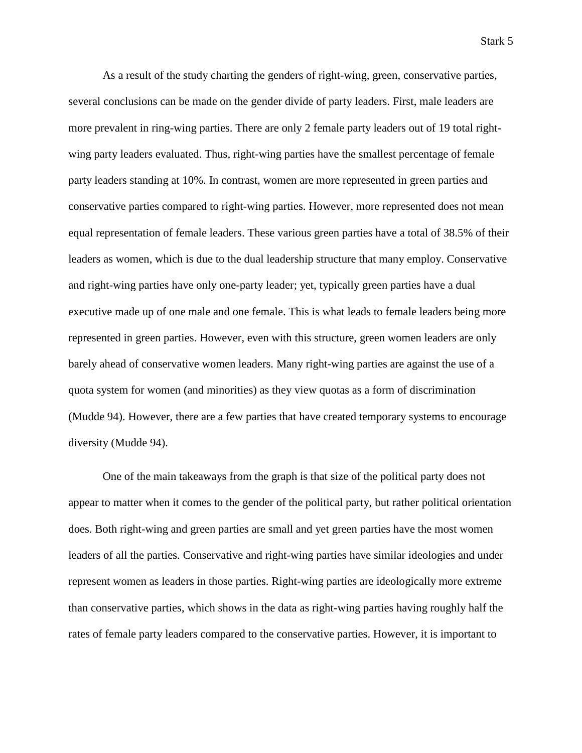As a result of the study charting the genders of right-wing, green, conservative parties, several conclusions can be made on the gender divide of party leaders. First, male leaders are more prevalent in ring-wing parties. There are only 2 female party leaders out of 19 total rightwing party leaders evaluated. Thus, right-wing parties have the smallest percentage of female party leaders standing at 10%. In contrast, women are more represented in green parties and conservative parties compared to right-wing parties. However, more represented does not mean equal representation of female leaders. These various green parties have a total of 38.5% of their leaders as women, which is due to the dual leadership structure that many employ. Conservative and right-wing parties have only one-party leader; yet, typically green parties have a dual executive made up of one male and one female. This is what leads to female leaders being more represented in green parties. However, even with this structure, green women leaders are only barely ahead of conservative women leaders. Many right-wing parties are against the use of a quota system for women (and minorities) as they view quotas as a form of discrimination (Mudde 94). However, there are a few parties that have created temporary systems to encourage diversity (Mudde 94).

One of the main takeaways from the graph is that size of the political party does not appear to matter when it comes to the gender of the political party, but rather political orientation does. Both right-wing and green parties are small and yet green parties have the most women leaders of all the parties. Conservative and right-wing parties have similar ideologies and under represent women as leaders in those parties. Right-wing parties are ideologically more extreme than conservative parties, which shows in the data as right-wing parties having roughly half the rates of female party leaders compared to the conservative parties. However, it is important to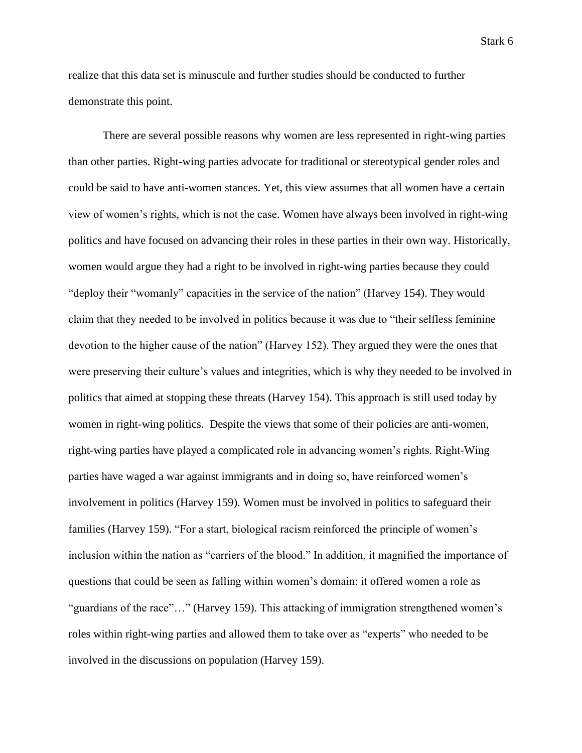Stark 6

realize that this data set is minuscule and further studies should be conducted to further demonstrate this point.

There are several possible reasons why women are less represented in right-wing parties than other parties. Right-wing parties advocate for traditional or stereotypical gender roles and could be said to have anti-women stances. Yet, this view assumes that all women have a certain view of women's rights, which is not the case. Women have always been involved in right-wing politics and have focused on advancing their roles in these parties in their own way. Historically, women would argue they had a right to be involved in right-wing parties because they could "deploy their "womanly" capacities in the service of the nation" (Harvey 154). They would claim that they needed to be involved in politics because it was due to "their selfless feminine devotion to the higher cause of the nation" (Harvey 152). They argued they were the ones that were preserving their culture's values and integrities, which is why they needed to be involved in politics that aimed at stopping these threats (Harvey 154). This approach is still used today by women in right-wing politics. Despite the views that some of their policies are anti-women, right-wing parties have played a complicated role in advancing women's rights. Right-Wing parties have waged a war against immigrants and in doing so, have reinforced women's involvement in politics (Harvey 159). Women must be involved in politics to safeguard their families (Harvey 159). "For a start, biological racism reinforced the principle of women's inclusion within the nation as "carriers of the blood." In addition, it magnified the importance of questions that could be seen as falling within women's domain: it offered women a role as "guardians of the race"…" (Harvey 159). This attacking of immigration strengthened women's roles within right-wing parties and allowed them to take over as "experts" who needed to be involved in the discussions on population (Harvey 159).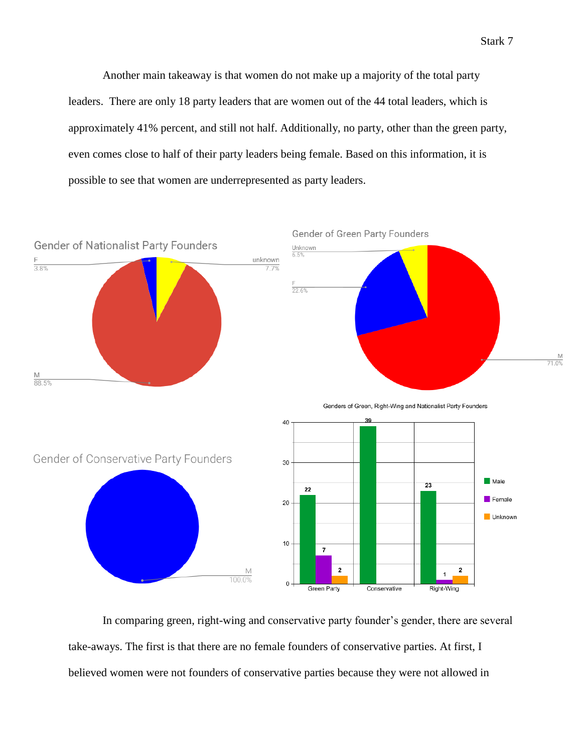Another main takeaway is that women do not make up a majority of the total party leaders. There are only 18 party leaders that are women out of the 44 total leaders, which is approximately 41% percent, and still not half. Additionally, no party, other than the green party, even comes close to half of their party leaders being female. Based on this information, it is possible to see that women are underrepresented as party leaders.



In comparing green, right-wing and conservative party founder's gender, there are several take-aways. The first is that there are no female founders of conservative parties. At first, I believed women were not founders of conservative parties because they were not allowed in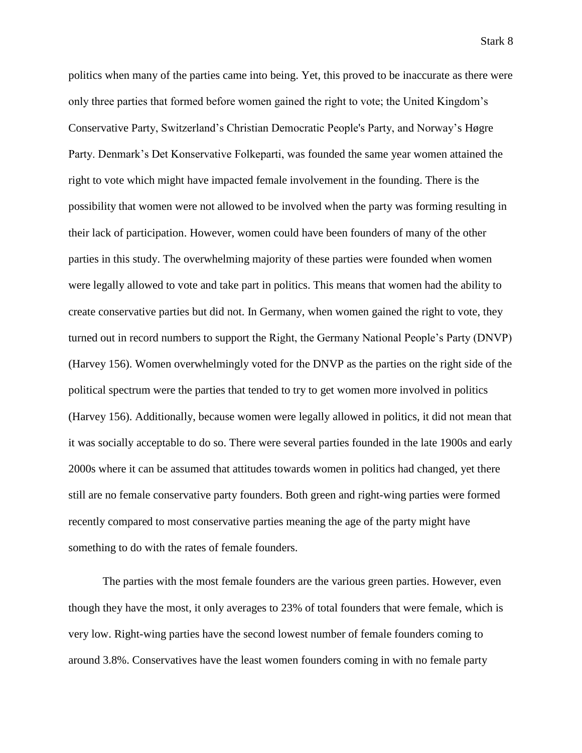politics when many of the parties came into being. Yet, this proved to be inaccurate as there were only three parties that formed before women gained the right to vote; the United Kingdom's Conservative Party, Switzerland's Christian Democratic People's Party, and Norway's Høgre Party. Denmark's Det Konservative Folkeparti, was founded the same year women attained the right to vote which might have impacted female involvement in the founding. There is the possibility that women were not allowed to be involved when the party was forming resulting in their lack of participation. However, women could have been founders of many of the other parties in this study. The overwhelming majority of these parties were founded when women were legally allowed to vote and take part in politics. This means that women had the ability to create conservative parties but did not. In Germany, when women gained the right to vote, they turned out in record numbers to support the Right, the Germany National People's Party (DNVP) (Harvey 156). Women overwhelmingly voted for the DNVP as the parties on the right side of the political spectrum were the parties that tended to try to get women more involved in politics (Harvey 156). Additionally, because women were legally allowed in politics, it did not mean that it was socially acceptable to do so. There were several parties founded in the late 1900s and early 2000s where it can be assumed that attitudes towards women in politics had changed, yet there still are no female conservative party founders. Both green and right-wing parties were formed recently compared to most conservative parties meaning the age of the party might have something to do with the rates of female founders.

The parties with the most female founders are the various green parties. However, even though they have the most, it only averages to 23% of total founders that were female, which is very low. Right-wing parties have the second lowest number of female founders coming to around 3.8%. Conservatives have the least women founders coming in with no female party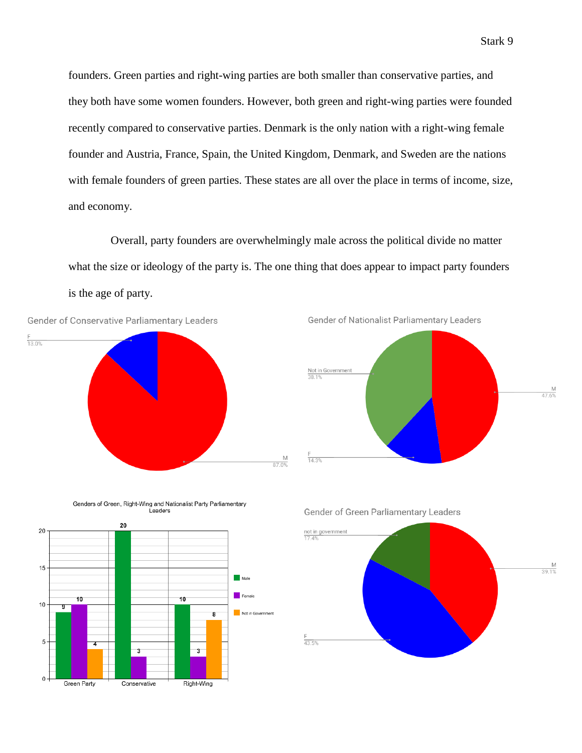founders. Green parties and right-wing parties are both smaller than conservative parties, and they both have some women founders. However, both green and right-wing parties were founded recently compared to conservative parties. Denmark is the only nation with a right-wing female founder and Austria, France, Spain, the United Kingdom, Denmark, and Sweden are the nations with female founders of green parties. These states are all over the place in terms of income, size, and economy.

Overall, party founders are overwhelmingly male across the political divide no matter what the size or ideology of the party is. The one thing that does appear to impact party founders is the age of party.

Not in Governmen

8

3

Right-Wing









 $\overline{\mathbf{3}}$ 

Conservative

5

 $\mathbf 0$ 

Green Party

Genders of Green, Right-Wing and Nationalist Party Parliamentary Leaders

Gender of Green Parliamentary Leaders

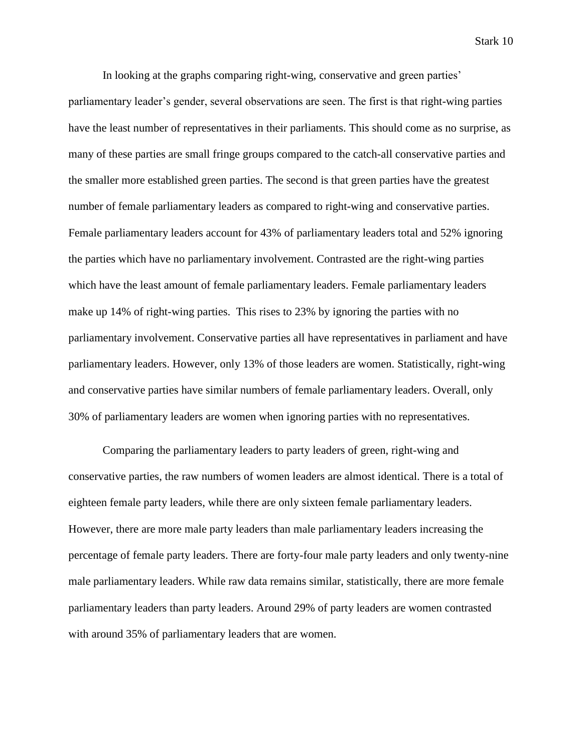Stark 10

In looking at the graphs comparing right-wing, conservative and green parties' parliamentary leader's gender, several observations are seen. The first is that right-wing parties have the least number of representatives in their parliaments. This should come as no surprise, as many of these parties are small fringe groups compared to the catch-all conservative parties and the smaller more established green parties. The second is that green parties have the greatest number of female parliamentary leaders as compared to right-wing and conservative parties. Female parliamentary leaders account for 43% of parliamentary leaders total and 52% ignoring the parties which have no parliamentary involvement. Contrasted are the right-wing parties which have the least amount of female parliamentary leaders. Female parliamentary leaders make up 14% of right-wing parties. This rises to 23% by ignoring the parties with no parliamentary involvement. Conservative parties all have representatives in parliament and have parliamentary leaders. However, only 13% of those leaders are women. Statistically, right-wing and conservative parties have similar numbers of female parliamentary leaders. Overall, only 30% of parliamentary leaders are women when ignoring parties with no representatives.

Comparing the parliamentary leaders to party leaders of green, right-wing and conservative parties, the raw numbers of women leaders are almost identical. There is a total of eighteen female party leaders, while there are only sixteen female parliamentary leaders. However, there are more male party leaders than male parliamentary leaders increasing the percentage of female party leaders. There are forty-four male party leaders and only twenty-nine male parliamentary leaders. While raw data remains similar, statistically, there are more female parliamentary leaders than party leaders. Around 29% of party leaders are women contrasted with around 35% of parliamentary leaders that are women.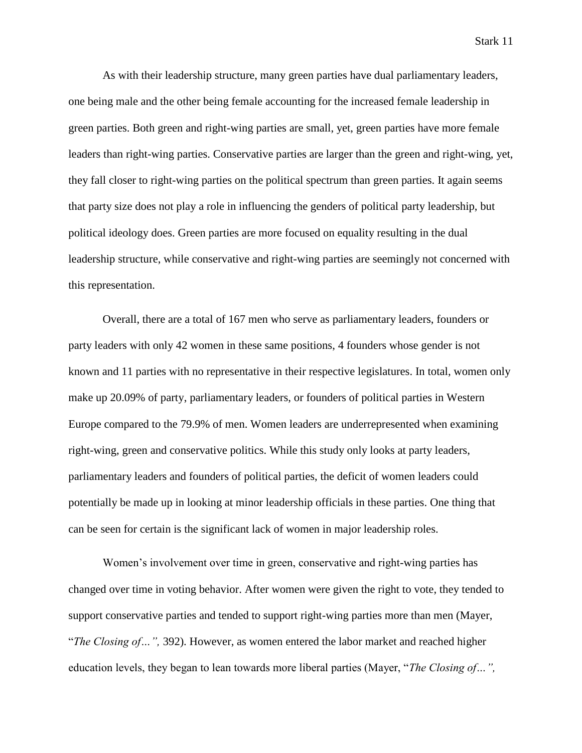Stark 11

As with their leadership structure, many green parties have dual parliamentary leaders, one being male and the other being female accounting for the increased female leadership in green parties. Both green and right-wing parties are small, yet, green parties have more female leaders than right-wing parties. Conservative parties are larger than the green and right-wing, yet, they fall closer to right-wing parties on the political spectrum than green parties. It again seems that party size does not play a role in influencing the genders of political party leadership, but political ideology does. Green parties are more focused on equality resulting in the dual leadership structure, while conservative and right-wing parties are seemingly not concerned with this representation.

Overall, there are a total of 167 men who serve as parliamentary leaders, founders or party leaders with only 42 women in these same positions, 4 founders whose gender is not known and 11 parties with no representative in their respective legislatures. In total, women only make up 20.09% of party, parliamentary leaders, or founders of political parties in Western Europe compared to the 79.9% of men. Women leaders are underrepresented when examining right-wing, green and conservative politics. While this study only looks at party leaders, parliamentary leaders and founders of political parties, the deficit of women leaders could potentially be made up in looking at minor leadership officials in these parties. One thing that can be seen for certain is the significant lack of women in major leadership roles.

Women's involvement over time in green, conservative and right-wing parties has changed over time in voting behavior. After women were given the right to vote, they tended to support conservative parties and tended to support right-wing parties more than men (Mayer, "*The Closing of…",* 392). However, as women entered the labor market and reached higher education levels, they began to lean towards more liberal parties (Mayer, "*The Closing of…",*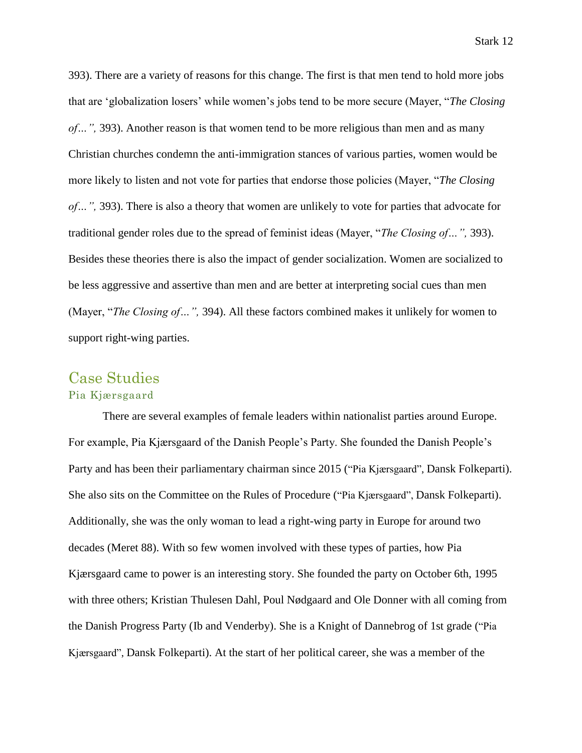393). There are a variety of reasons for this change. The first is that men tend to hold more jobs that are 'globalization losers' while women's jobs tend to be more secure (Mayer, "*The Closing of…",* 393). Another reason is that women tend to be more religious than men and as many Christian churches condemn the anti-immigration stances of various parties, women would be more likely to listen and not vote for parties that endorse those policies (Mayer, "*The Closing of…",* 393). There is also a theory that women are unlikely to vote for parties that advocate for traditional gender roles due to the spread of feminist ideas (Mayer, "*The Closing of…",* 393). Besides these theories there is also the impact of gender socialization. Women are socialized to be less aggressive and assertive than men and are better at interpreting social cues than men (Mayer, "*The Closing of…",* 394). All these factors combined makes it unlikely for women to support right-wing parties.

# Case Studies Pia Kjærsgaard

There are several examples of female leaders within nationalist parties around Europe. For example, Pia Kjærsgaard of the Danish People's Party. She founded the Danish People's Party and has been their parliamentary chairman since 2015 ("Pia Kjærsgaard", Dansk Folkeparti). She also sits on the Committee on the Rules of Procedure ("Pia Kjærsgaard", Dansk Folkeparti). Additionally, she was the only woman to lead a right-wing party in Europe for around two decades (Meret 88). With so few women involved with these types of parties, how Pia Kjærsgaard came to power is an interesting story. She founded the party on October 6th, 1995 with three others; Kristian Thulesen Dahl, Poul Nødgaard and Ole Donner with all coming from the Danish Progress Party (Ib and Venderby). She is a Knight of Dannebrog of 1st grade ("Pia Kjærsgaard", Dansk Folkeparti). At the start of her political career, she was a member of the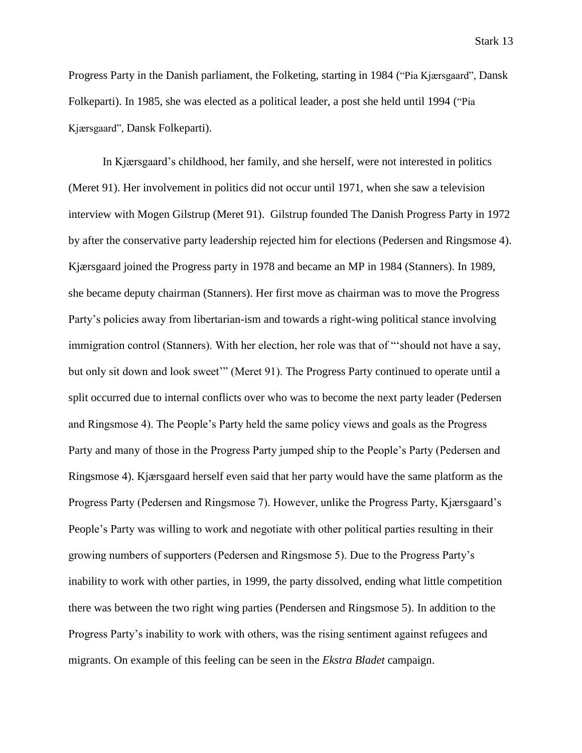Progress Party in the Danish parliament, the Folketing, starting in 1984 ("Pia Kjærsgaard", Dansk Folkeparti). In 1985, she was elected as a political leader, a post she held until 1994 ("Pia Kjærsgaard", Dansk Folkeparti).

In Kjærsgaard's childhood, her family, and she herself, were not interested in politics (Meret 91). Her involvement in politics did not occur until 1971, when she saw a television interview with Mogen Gilstrup (Meret 91). Gilstrup founded The Danish Progress Party in 1972 by after the conservative party leadership rejected him for elections (Pedersen and Ringsmose 4). Kjærsgaard joined the Progress party in 1978 and became an MP in 1984 (Stanners). In 1989, she became deputy chairman (Stanners). Her first move as chairman was to move the Progress Party's policies away from libertarian-ism and towards a right-wing political stance involving immigration control (Stanners). With her election, her role was that of "'should not have a say, but only sit down and look sweet'" (Meret 91). The Progress Party continued to operate until a split occurred due to internal conflicts over who was to become the next party leader (Pedersen and Ringsmose 4). The People's Party held the same policy views and goals as the Progress Party and many of those in the Progress Party jumped ship to the People's Party (Pedersen and Ringsmose 4). Kjærsgaard herself even said that her party would have the same platform as the Progress Party (Pedersen and Ringsmose 7). However, unlike the Progress Party, Kjærsgaard's People's Party was willing to work and negotiate with other political parties resulting in their growing numbers of supporters (Pedersen and Ringsmose 5). Due to the Progress Party's inability to work with other parties, in 1999, the party dissolved, ending what little competition there was between the two right wing parties (Pendersen and Ringsmose 5). In addition to the Progress Party's inability to work with others, was the rising sentiment against refugees and migrants. On example of this feeling can be seen in the *Ekstra Bladet* campaign.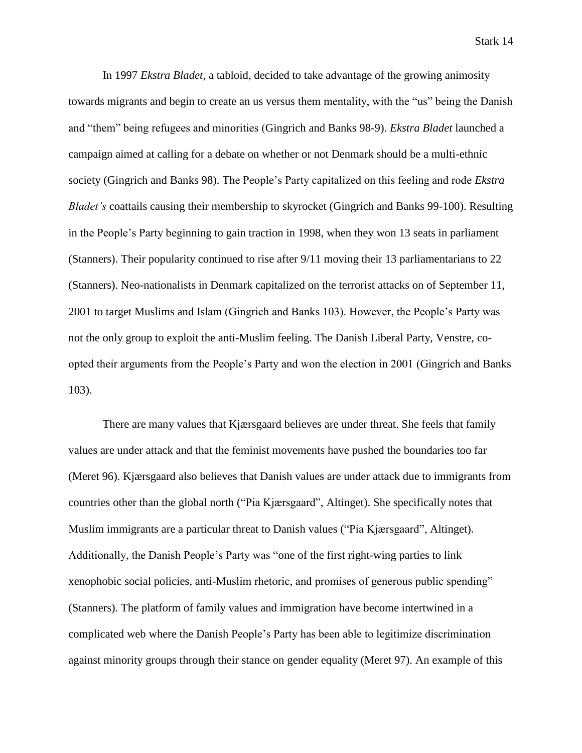Stark 14

In 1997 *Ekstra Bladet,* a tabloid*,* decided to take advantage of the growing animosity towards migrants and begin to create an us versus them mentality, with the "us" being the Danish and "them" being refugees and minorities (Gingrich and Banks 98-9). *Ekstra Bladet* launched a campaign aimed at calling for a debate on whether or not Denmark should be a multi-ethnic society (Gingrich and Banks 98). The People's Party capitalized on this feeling and rode *Ekstra Bladet's* coattails causing their membership to skyrocket (Gingrich and Banks 99-100). Resulting in the People's Party beginning to gain traction in 1998, when they won 13 seats in parliament (Stanners). Their popularity continued to rise after 9/11 moving their 13 parliamentarians to 22 (Stanners). Neo-nationalists in Denmark capitalized on the terrorist attacks on of September 11, 2001 to target Muslims and Islam (Gingrich and Banks 103). However, the People's Party was not the only group to exploit the anti-Muslim feeling. The Danish Liberal Party, Venstre, coopted their arguments from the People's Party and won the election in 2001 (Gingrich and Banks 103).

There are many values that Kjærsgaard believes are under threat. She feels that family values are under attack and that the feminist movements have pushed the boundaries too far (Meret 96). Kjærsgaard also believes that Danish values are under attack due to immigrants from countries other than the global north ("Pia Kjærsgaard", Altinget). She specifically notes that Muslim immigrants are a particular threat to Danish values ("Pia Kjærsgaard", Altinget). Additionally, the Danish People's Party was "one of the first right-wing parties to link xenophobic social policies, anti-Muslim rhetoric, and promises of generous public spending" (Stanners). The platform of family values and immigration have become intertwined in a complicated web where the Danish People's Party has been able to legitimize discrimination against minority groups through their stance on gender equality (Meret 97). An example of this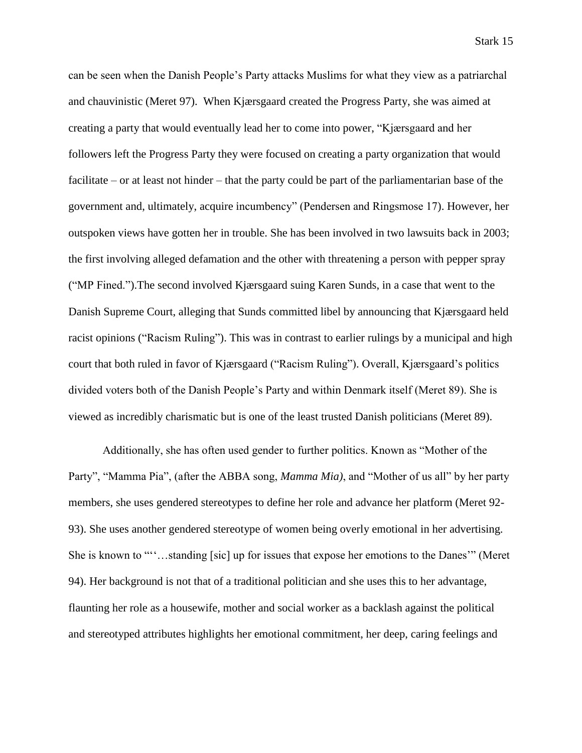can be seen when the Danish People's Party attacks Muslims for what they view as a patriarchal and chauvinistic (Meret 97). When Kjærsgaard created the Progress Party, she was aimed at creating a party that would eventually lead her to come into power, "Kjærsgaard and her followers left the Progress Party they were focused on creating a party organization that would facilitate – or at least not hinder – that the party could be part of the parliamentarian base of the government and, ultimately, acquire incumbency" (Pendersen and Ringsmose 17). However, her outspoken views have gotten her in trouble. She has been involved in two lawsuits back in 2003; the first involving alleged defamation and the other with threatening a person with pepper spray ("MP Fined.").The second involved Kjærsgaard suing Karen Sunds, in a case that went to the Danish Supreme Court, alleging that Sunds committed libel by announcing that Kjærsgaard held racist opinions ("Racism Ruling"). This was in contrast to earlier rulings by a municipal and high court that both ruled in favor of Kjærsgaard ("Racism Ruling"). Overall, Kjærsgaard's politics divided voters both of the Danish People's Party and within Denmark itself (Meret 89). She is viewed as incredibly charismatic but is one of the least trusted Danish politicians (Meret 89).

Additionally, she has often used gender to further politics. Known as "Mother of the Party", "Mamma Pia", (after the ABBA song, *Mamma Mia)*, and "Mother of us all" by her party members, she uses gendered stereotypes to define her role and advance her platform (Meret 92- 93). She uses another gendered stereotype of women being overly emotional in her advertising. She is known to "''…standing [sic] up for issues that expose her emotions to the Danes'" (Meret 94). Her background is not that of a traditional politician and she uses this to her advantage, flaunting her role as a housewife, mother and social worker as a backlash against the political and stereotyped attributes highlights her emotional commitment, her deep, caring feelings and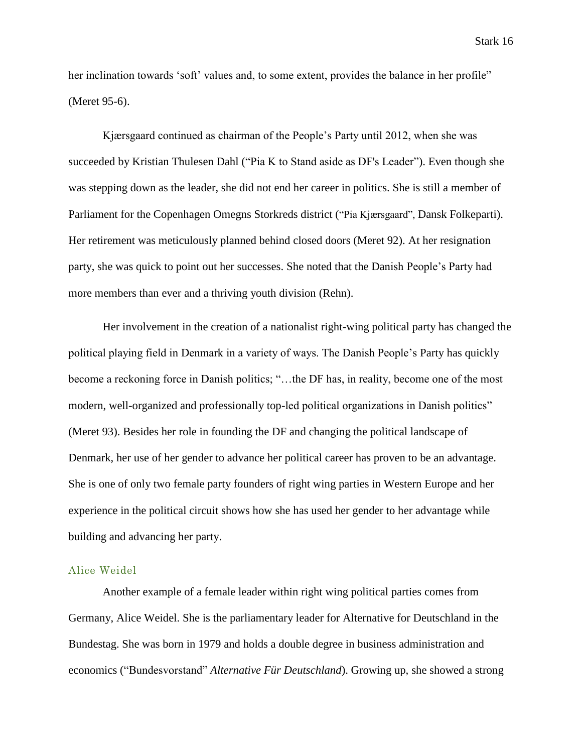her inclination towards 'soft' values and, to some extent, provides the balance in her profile" (Meret 95-6).

Kjærsgaard continued as chairman of the People's Party until 2012, when she was succeeded by Kristian Thulesen Dahl ("Pia K to Stand aside as DF's Leader"). Even though she was stepping down as the leader, she did not end her career in politics. She is still a member of Parliament for the Copenhagen Omegns Storkreds district ("Pia Kjærsgaard", Dansk Folkeparti). Her retirement was meticulously planned behind closed doors (Meret 92). At her resignation party, she was quick to point out her successes. She noted that the Danish People's Party had more members than ever and a thriving youth division (Rehn).

Her involvement in the creation of a nationalist right-wing political party has changed the political playing field in Denmark in a variety of ways. The Danish People's Party has quickly become a reckoning force in Danish politics; "…the DF has, in reality, become one of the most modern, well-organized and professionally top-led political organizations in Danish politics" (Meret 93). Besides her role in founding the DF and changing the political landscape of Denmark, her use of her gender to advance her political career has proven to be an advantage. She is one of only two female party founders of right wing parties in Western Europe and her experience in the political circuit shows how she has used her gender to her advantage while building and advancing her party.

#### Alice Weidel

Another example of a female leader within right wing political parties comes from Germany, Alice Weidel. She is the parliamentary leader for Alternative for Deutschland in the Bundestag. She was born in 1979 and holds a double degree in business administration and economics ("Bundesvorstand" *Alternative Für Deutschland*). Growing up, she showed a strong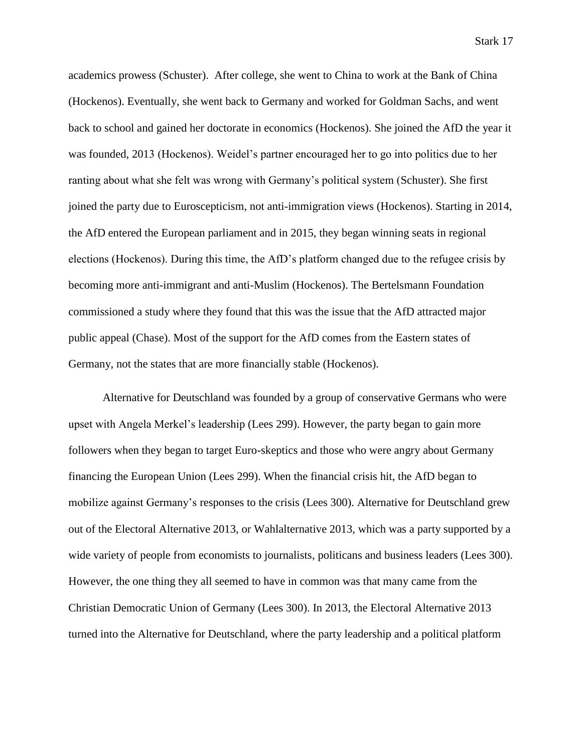Stark 17

academics prowess (Schuster). After college, she went to China to work at the Bank of China (Hockenos). Eventually, she went back to Germany and worked for Goldman Sachs, and went back to school and gained her doctorate in economics (Hockenos). She joined the AfD the year it was founded, 2013 (Hockenos). Weidel's partner encouraged her to go into politics due to her ranting about what she felt was wrong with Germany's political system (Schuster). She first joined the party due to Euroscepticism, not anti-immigration views (Hockenos). Starting in 2014, the AfD entered the European parliament and in 2015, they began winning seats in regional elections (Hockenos). During this time, the AfD's platform changed due to the refugee crisis by becoming more anti-immigrant and anti-Muslim (Hockenos). The Bertelsmann Foundation commissioned a study where they found that this was the issue that the AfD attracted major public appeal (Chase). Most of the support for the AfD comes from the Eastern states of Germany, not the states that are more financially stable (Hockenos).

Alternative for Deutschland was founded by a group of conservative Germans who were upset with Angela Merkel's leadership (Lees 299). However, the party began to gain more followers when they began to target Euro-skeptics and those who were angry about Germany financing the European Union (Lees 299). When the financial crisis hit, the AfD began to mobilize against Germany's responses to the crisis (Lees 300). Alternative for Deutschland grew out of the Electoral Alternative 2013, or Wahlalternative 2013, which was a party supported by a wide variety of people from economists to journalists, politicans and business leaders (Lees 300). However, the one thing they all seemed to have in common was that many came from the Christian Democratic Union of Germany (Lees 300). In 2013, the Electoral Alternative 2013 turned into the Alternative for Deutschland, where the party leadership and a political platform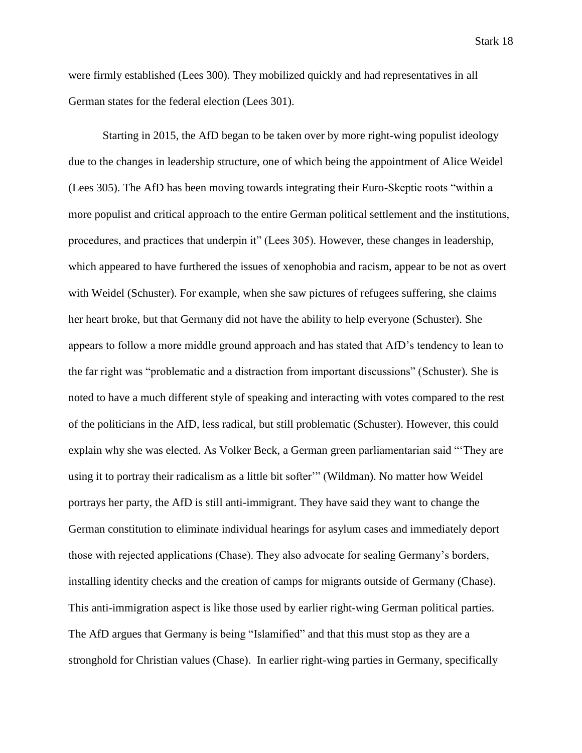were firmly established (Lees 300). They mobilized quickly and had representatives in all German states for the federal election (Lees 301).

Starting in 2015, the AfD began to be taken over by more right-wing populist ideology due to the changes in leadership structure, one of which being the appointment of Alice Weidel (Lees 305). The AfD has been moving towards integrating their Euro-Skeptic roots "within a more populist and critical approach to the entire German political settlement and the institutions, procedures, and practices that underpin it" (Lees 305). However, these changes in leadership, which appeared to have furthered the issues of xenophobia and racism, appear to be not as overt with Weidel (Schuster). For example, when she saw pictures of refugees suffering, she claims her heart broke, but that Germany did not have the ability to help everyone (Schuster). She appears to follow a more middle ground approach and has stated that AfD's tendency to lean to the far right was "problematic and a distraction from important discussions" (Schuster). She is noted to have a much different style of speaking and interacting with votes compared to the rest of the politicians in the AfD, less radical, but still problematic (Schuster). However, this could explain why she was elected. As Volker Beck, a German green parliamentarian said "'They are using it to portray their radicalism as a little bit softer'" (Wildman). No matter how Weidel portrays her party, the AfD is still anti-immigrant. They have said they want to change the German constitution to eliminate individual hearings for asylum cases and immediately deport those with rejected applications (Chase). They also advocate for sealing Germany's borders, installing identity checks and the creation of camps for migrants outside of Germany (Chase). This anti-immigration aspect is like those used by earlier right-wing German political parties. The AfD argues that Germany is being "Islamified" and that this must stop as they are a stronghold for Christian values (Chase). In earlier right-wing parties in Germany, specifically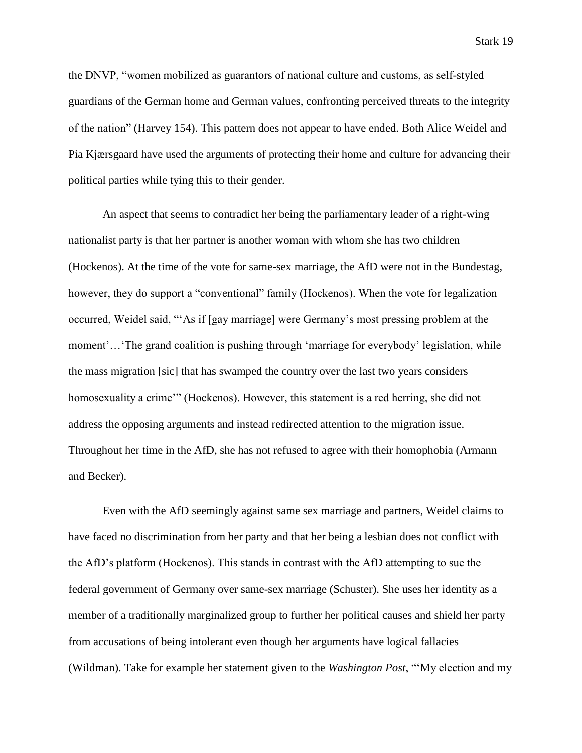the DNVP, "women mobilized as guarantors of national culture and customs, as self-styled guardians of the German home and German values, confronting perceived threats to the integrity of the nation" (Harvey 154). This pattern does not appear to have ended. Both Alice Weidel and Pia Kjærsgaard have used the arguments of protecting their home and culture for advancing their political parties while tying this to their gender.

An aspect that seems to contradict her being the parliamentary leader of a right-wing nationalist party is that her partner is another woman with whom she has two children (Hockenos). At the time of the vote for same-sex marriage, the AfD were not in the Bundestag, however, they do support a "conventional" family (Hockenos). When the vote for legalization occurred, Weidel said, "'As if [gay marriage] were Germany's most pressing problem at the moment'…'The grand coalition is pushing through 'marriage for everybody' legislation, while the mass migration [sic] that has swamped the country over the last two years considers homosexuality a crime'" (Hockenos). However, this statement is a red herring, she did not address the opposing arguments and instead redirected attention to the migration issue. Throughout her time in the AfD, she has not refused to agree with their homophobia (Armann and Becker).

Even with the AfD seemingly against same sex marriage and partners, Weidel claims to have faced no discrimination from her party and that her being a lesbian does not conflict with the AfD's platform (Hockenos). This stands in contrast with the AfD attempting to sue the federal government of Germany over same-sex marriage (Schuster). She uses her identity as a member of a traditionally marginalized group to further her political causes and shield her party from accusations of being intolerant even though her arguments have logical fallacies (Wildman). Take for example her statement given to the *Washington Post*, "'My election and my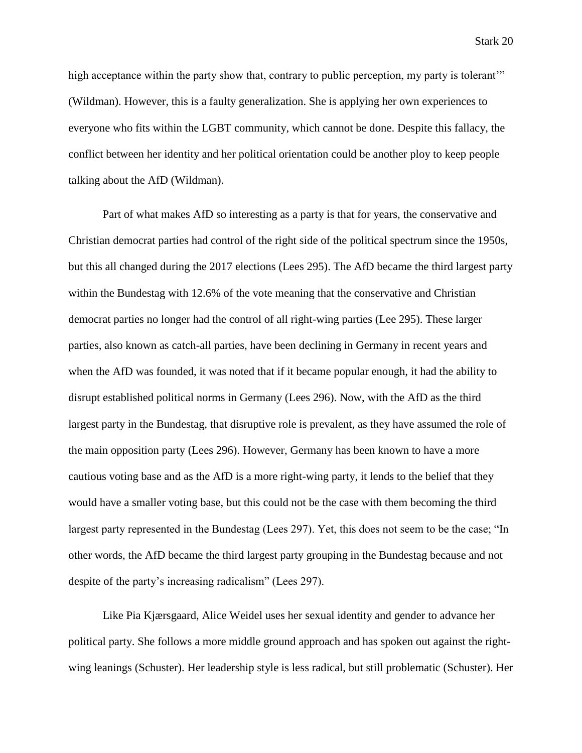high acceptance within the party show that, contrary to public perception, my party is tolerant" (Wildman). However, this is a faulty generalization. She is applying her own experiences to everyone who fits within the LGBT community, which cannot be done. Despite this fallacy, the conflict between her identity and her political orientation could be another ploy to keep people talking about the AfD (Wildman).

Part of what makes AfD so interesting as a party is that for years, the conservative and Christian democrat parties had control of the right side of the political spectrum since the 1950s, but this all changed during the 2017 elections (Lees 295). The AfD became the third largest party within the Bundestag with 12.6% of the vote meaning that the conservative and Christian democrat parties no longer had the control of all right-wing parties (Lee 295). These larger parties, also known as catch-all parties, have been declining in Germany in recent years and when the AfD was founded, it was noted that if it became popular enough, it had the ability to disrupt established political norms in Germany (Lees 296). Now, with the AfD as the third largest party in the Bundestag, that disruptive role is prevalent, as they have assumed the role of the main opposition party (Lees 296). However, Germany has been known to have a more cautious voting base and as the AfD is a more right-wing party, it lends to the belief that they would have a smaller voting base, but this could not be the case with them becoming the third largest party represented in the Bundestag (Lees 297). Yet, this does not seem to be the case; "In other words, the AfD became the third largest party grouping in the Bundestag because and not despite of the party's increasing radicalism" (Lees 297).

Like Pia Kjærsgaard, Alice Weidel uses her sexual identity and gender to advance her political party. She follows a more middle ground approach and has spoken out against the rightwing leanings (Schuster). Her leadership style is less radical, but still problematic (Schuster). Her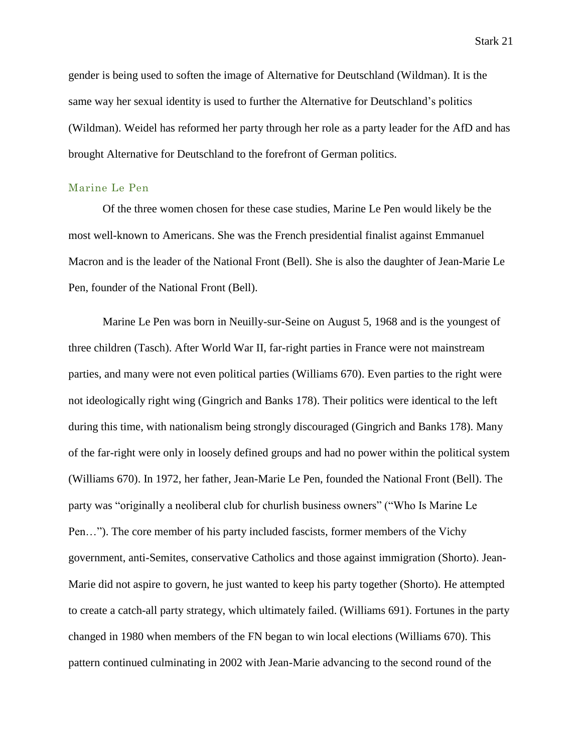gender is being used to soften the image of Alternative for Deutschland (Wildman). It is the same way her sexual identity is used to further the Alternative for Deutschland's politics (Wildman). Weidel has reformed her party through her role as a party leader for the AfD and has brought Alternative for Deutschland to the forefront of German politics.

#### Marine Le Pen

Of the three women chosen for these case studies, Marine Le Pen would likely be the most well-known to Americans. She was the French presidential finalist against Emmanuel Macron and is the leader of the National Front (Bell). She is also the daughter of Jean-Marie Le Pen, founder of the National Front (Bell).

Marine Le Pen was born in Neuilly-sur-Seine on August 5, 1968 and is the youngest of three children (Tasch). After World War II, far-right parties in France were not mainstream parties, and many were not even political parties (Williams 670). Even parties to the right were not ideologically right wing (Gingrich and Banks 178). Their politics were identical to the left during this time, with nationalism being strongly discouraged (Gingrich and Banks 178). Many of the far-right were only in loosely defined groups and had no power within the political system (Williams 670). In 1972, her father, Jean-Marie Le Pen, founded the National Front (Bell). The party was "originally a neoliberal club for churlish business owners" ("Who Is Marine Le Pen…"). The core member of his party included fascists, former members of the Vichy government, anti-Semites, conservative Catholics and those against immigration (Shorto). Jean-Marie did not aspire to govern, he just wanted to keep his party together (Shorto). He attempted to create a catch-all party strategy, which ultimately failed. (Williams 691). Fortunes in the party changed in 1980 when members of the FN began to win local elections (Williams 670). This pattern continued culminating in 2002 with Jean-Marie advancing to the second round of the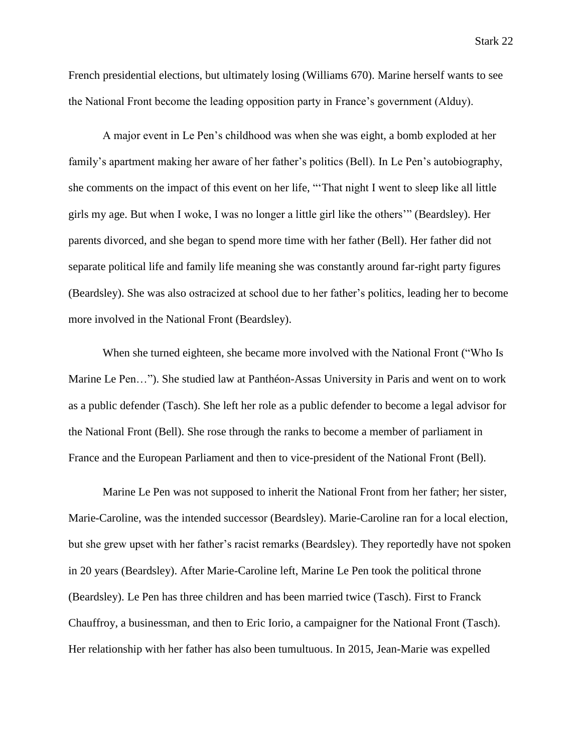French presidential elections, but ultimately losing (Williams 670). Marine herself wants to see the National Front become the leading opposition party in France's government (Alduy).

A major event in Le Pen's childhood was when she was eight, a bomb exploded at her family's apartment making her aware of her father's politics (Bell). In Le Pen's autobiography, she comments on the impact of this event on her life, "'That night I went to sleep like all little girls my age. But when I woke, I was no longer a little girl like the others'" (Beardsley). Her parents divorced, and she began to spend more time with her father (Bell). Her father did not separate political life and family life meaning she was constantly around far-right party figures (Beardsley). She was also ostracized at school due to her father's politics, leading her to become more involved in the National Front (Beardsley).

When she turned eighteen, she became more involved with the National Front ("Who Is Marine Le Pen…"). She studied law at Panthéon-Assas University in Paris and went on to work as a public defender (Tasch). She left her role as a public defender to become a legal advisor for the National Front (Bell). She rose through the ranks to become a member of parliament in France and the European Parliament and then to vice-president of the National Front (Bell).

Marine Le Pen was not supposed to inherit the National Front from her father; her sister, Marie-Caroline, was the intended successor (Beardsley). Marie-Caroline ran for a local election, but she grew upset with her father's racist remarks (Beardsley). They reportedly have not spoken in 20 years (Beardsley). After Marie-Caroline left, Marine Le Pen took the political throne (Beardsley). Le Pen has three children and has been married twice (Tasch). First to Franck Chauffroy, a businessman, and then to Eric Iorio, a campaigner for the National Front (Tasch). Her relationship with her father has also been tumultuous. In 2015, Jean-Marie was expelled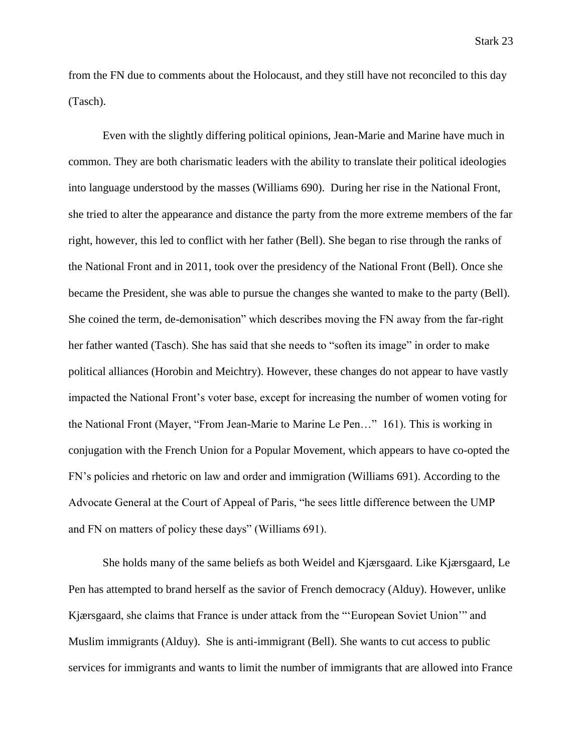from the FN due to comments about the Holocaust, and they still have not reconciled to this day (Tasch).

Even with the slightly differing political opinions, Jean-Marie and Marine have much in common. They are both charismatic leaders with the ability to translate their political ideologies into language understood by the masses (Williams 690). During her rise in the National Front, she tried to alter the appearance and distance the party from the more extreme members of the far right, however, this led to conflict with her father (Bell). She began to rise through the ranks of the National Front and in 2011, took over the presidency of the National Front (Bell). Once she became the President, she was able to pursue the changes she wanted to make to the party (Bell). She coined the term, de-demonisation" which describes moving the FN away from the far-right her father wanted (Tasch). She has said that she needs to "soften its image" in order to make political alliances (Horobin and Meichtry). However, these changes do not appear to have vastly impacted the National Front's voter base, except for increasing the number of women voting for the National Front (Mayer, "From Jean-Marie to Marine Le Pen…" 161). This is working in conjugation with the French Union for a Popular Movement, which appears to have co-opted the FN's policies and rhetoric on law and order and immigration (Williams 691). According to the Advocate General at the Court of Appeal of Paris, "he sees little difference between the UMP and FN on matters of policy these days" (Williams 691).

She holds many of the same beliefs as both Weidel and Kjærsgaard. Like Kjærsgaard, Le Pen has attempted to brand herself as the savior of French democracy (Alduy). However, unlike Kjærsgaard, she claims that France is under attack from the "'European Soviet Union'" and Muslim immigrants (Alduy). She is anti-immigrant (Bell). She wants to cut access to public services for immigrants and wants to limit the number of immigrants that are allowed into France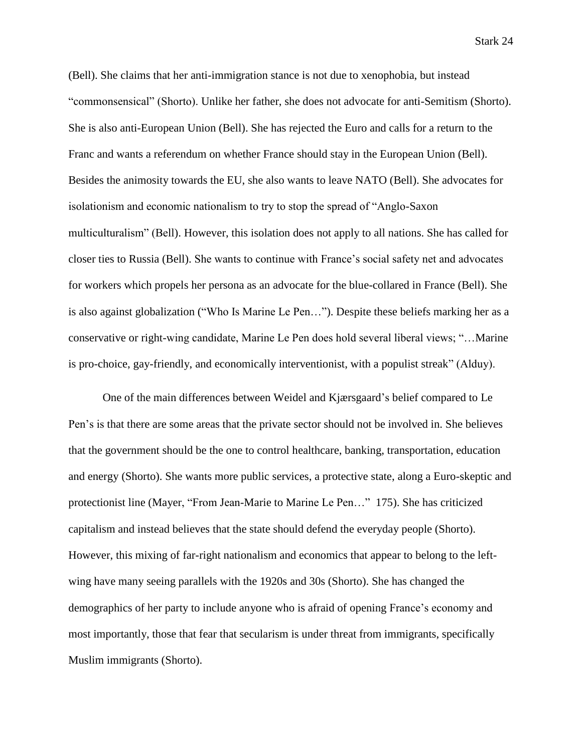Stark 24

(Bell). She claims that her anti-immigration stance is not due to xenophobia, but instead "commonsensical" (Shorto). Unlike her father, she does not advocate for anti-Semitism (Shorto). She is also anti-European Union (Bell). She has rejected the Euro and calls for a return to the Franc and wants a referendum on whether France should stay in the European Union (Bell). Besides the animosity towards the EU, she also wants to leave NATO (Bell). She advocates for isolationism and economic nationalism to try to stop the spread of "Anglo-Saxon multiculturalism" (Bell). However, this isolation does not apply to all nations. She has called for closer ties to Russia (Bell). She wants to continue with France's social safety net and advocates for workers which propels her persona as an advocate for the blue-collared in France (Bell). She is also against globalization ("Who Is Marine Le Pen…"). Despite these beliefs marking her as a conservative or right-wing candidate, Marine Le Pen does hold several liberal views; "…Marine is pro-choice, gay-friendly, and economically interventionist, with a populist streak" (Alduy).

One of the main differences between Weidel and Kjærsgaard's belief compared to Le Pen's is that there are some areas that the private sector should not be involved in. She believes that the government should be the one to control healthcare, banking, transportation, education and energy (Shorto). She wants more public services, a protective state, along a Euro-skeptic and protectionist line (Mayer, "From Jean-Marie to Marine Le Pen…" 175). She has criticized capitalism and instead believes that the state should defend the everyday people (Shorto). However, this mixing of far-right nationalism and economics that appear to belong to the leftwing have many seeing parallels with the 1920s and 30s (Shorto). She has changed the demographics of her party to include anyone who is afraid of opening France's economy and most importantly, those that fear that secularism is under threat from immigrants, specifically Muslim immigrants (Shorto).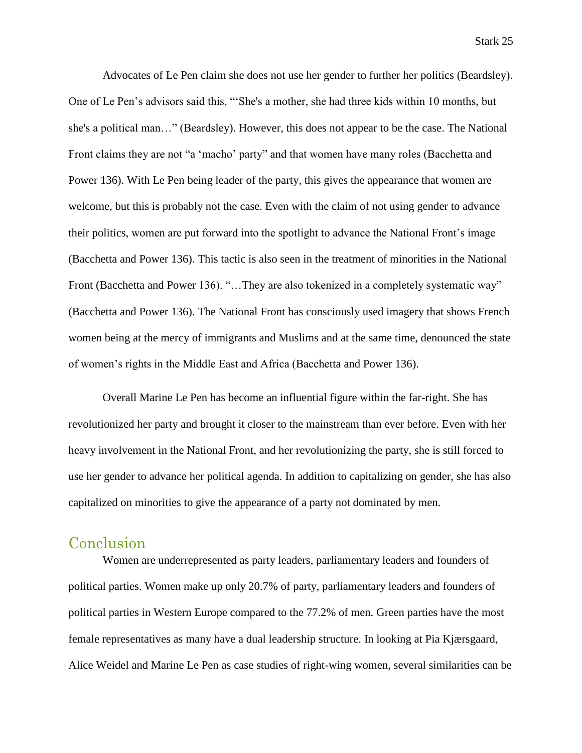Advocates of Le Pen claim she does not use her gender to further her politics (Beardsley). One of Le Pen's advisors said this, "'She's a mother, she had three kids within 10 months, but she's a political man…" (Beardsley). However, this does not appear to be the case. The National Front claims they are not "a 'macho' party" and that women have many roles (Bacchetta and Power 136). With Le Pen being leader of the party, this gives the appearance that women are welcome, but this is probably not the case. Even with the claim of not using gender to advance their politics, women are put forward into the spotlight to advance the National Front's image (Bacchetta and Power 136). This tactic is also seen in the treatment of minorities in the National Front (Bacchetta and Power 136). "...They are also tokenized in a completely systematic way" (Bacchetta and Power 136). The National Front has consciously used imagery that shows French women being at the mercy of immigrants and Muslims and at the same time, denounced the state of women's rights in the Middle East and Africa (Bacchetta and Power 136).

Overall Marine Le Pen has become an influential figure within the far-right. She has revolutionized her party and brought it closer to the mainstream than ever before. Even with her heavy involvement in the National Front, and her revolutionizing the party, she is still forced to use her gender to advance her political agenda. In addition to capitalizing on gender, she has also capitalized on minorities to give the appearance of a party not dominated by men.

## Conclusion

Women are underrepresented as party leaders, parliamentary leaders and founders of political parties. Women make up only 20.7% of party, parliamentary leaders and founders of political parties in Western Europe compared to the 77.2% of men. Green parties have the most female representatives as many have a dual leadership structure. In looking at Pia Kjærsgaard, Alice Weidel and Marine Le Pen as case studies of right-wing women, several similarities can be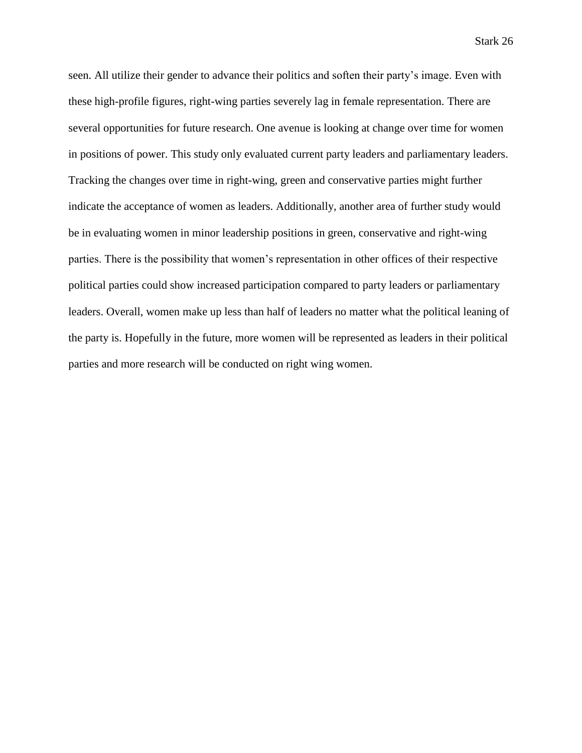seen. All utilize their gender to advance their politics and soften their party's image. Even with these high-profile figures, right-wing parties severely lag in female representation. There are several opportunities for future research. One avenue is looking at change over time for women in positions of power. This study only evaluated current party leaders and parliamentary leaders. Tracking the changes over time in right-wing, green and conservative parties might further indicate the acceptance of women as leaders. Additionally, another area of further study would be in evaluating women in minor leadership positions in green, conservative and right-wing parties. There is the possibility that women's representation in other offices of their respective political parties could show increased participation compared to party leaders or parliamentary leaders. Overall, women make up less than half of leaders no matter what the political leaning of the party is. Hopefully in the future, more women will be represented as leaders in their political parties and more research will be conducted on right wing women.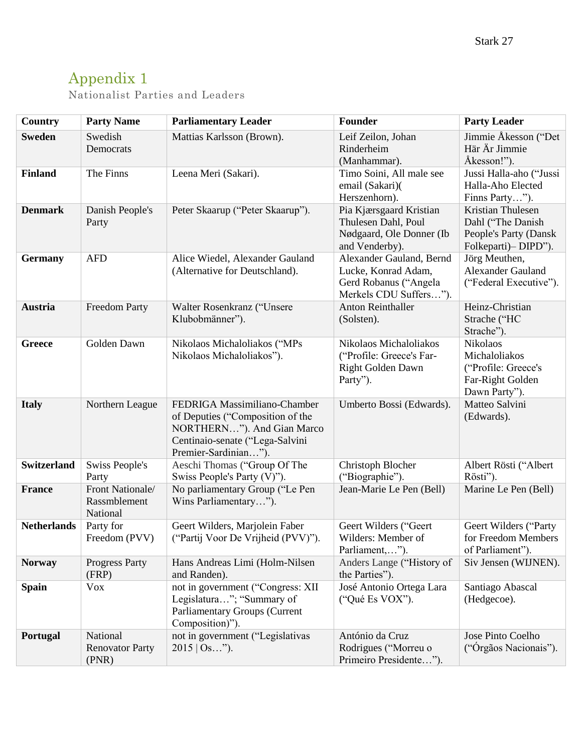# Appendix 1

Nationalist Parties and Leaders

| <b>Country</b>     | <b>Party Name</b>                            | <b>Parliamentary Leader</b>                                                                                                                               | Founder                                                                                            | <b>Party Leader</b>                                                                     |
|--------------------|----------------------------------------------|-----------------------------------------------------------------------------------------------------------------------------------------------------------|----------------------------------------------------------------------------------------------------|-----------------------------------------------------------------------------------------|
| <b>Sweden</b>      | Swedish<br>Democrats                         | Mattias Karlsson (Brown).                                                                                                                                 | Leif Zeilon, Johan<br>Rinderheim<br>(Manhammar).                                                   | Jimmie Åkesson ("Det<br>Här Är Jimmie<br>Åkesson!").                                    |
| <b>Finland</b>     | The Finns                                    | Leena Meri (Sakari).                                                                                                                                      | Timo Soini, All male see<br>email (Sakari)(<br>Herszenhorn).                                       | Jussi Halla-aho ("Jussi<br>Halla-Aho Elected<br>Finns Party").                          |
| <b>Denmark</b>     | Danish People's<br>Party                     | Peter Skaarup ("Peter Skaarup").                                                                                                                          | Pia Kjærsgaard Kristian<br>Thulesen Dahl, Poul<br>Nødgaard, Ole Donner (Ib<br>and Venderby).       | Kristian Thulesen<br>Dahl ("The Danish<br>People's Party (Dansk<br>Folkeparti)– DIPD"). |
| <b>Germany</b>     | <b>AFD</b>                                   | Alice Wiedel, Alexander Gauland<br>(Alternative for Deutschland).                                                                                         | Alexander Gauland, Bernd<br>Lucke, Konrad Adam,<br>Gerd Robanus ("Angela<br>Merkels CDU Suffers"). | Jörg Meuthen,<br><b>Alexander Gauland</b><br>("Federal Executive").                     |
| <b>Austria</b>     | <b>Freedom Party</b>                         | Walter Rosenkranz ("Unsere<br>Klubobmänner").                                                                                                             | <b>Anton Reinthaller</b><br>(Solsten).                                                             | Heinz-Christian<br>Strache ("HC<br>Strache").                                           |
| <b>Greece</b>      | Golden Dawn                                  | Nikolaos Michaloliakos ("MPs<br>Nikolaos Michaloliakos").                                                                                                 | Nikolaos Michaloliakos<br>("Profile: Greece's Far-<br>Right Golden Dawn<br>Party").                | Nikolaos<br>Michaloliakos<br>("Profile: Greece's<br>Far-Right Golden<br>Dawn Party").   |
| <b>Italy</b>       | Northern League                              | FEDRIGA Massimiliano-Chamber<br>of Deputies ("Composition of the<br>NORTHERN"). And Gian Marco<br>Centinaio-senate ("Lega-Salvini<br>Premier-Sardinian"). | Umberto Bossi (Edwards).                                                                           | Matteo Salvini<br>(Edwards).                                                            |
| <b>Switzerland</b> | <b>Swiss People's</b><br>Party               | Aeschi Thomas ("Group Of The<br>Swiss People's Party (V)").                                                                                               | Christoph Blocher<br>("Biographie").                                                               | Albert Rösti ("Albert<br>Rösti").                                                       |
| <b>France</b>      | Front Nationale/<br>Rassmblement<br>National | No parliamentary Group ("Le Pen<br>Wins Parliamentary").                                                                                                  | Jean-Marie Le Pen (Bell)                                                                           | Marine Le Pen (Bell)                                                                    |
| <b>Netherlands</b> | Party for<br>Freedom (PVV)                   | Geert Wilders, Marjolein Faber<br>("Partij Voor De Vrijheid (PVV)").                                                                                      | Geert Wilders ("Geert<br>Wilders: Member of<br>Parliament,").                                      | Geert Wilders ("Party<br>for Freedom Members<br>of Parliament").                        |
| <b>Norway</b>      | <b>Progress Party</b><br>(FRP)               | Hans Andreas Limi (Holm-Nilsen<br>and Randen).                                                                                                            | Anders Lange ("History of<br>the Parties").                                                        | Siv Jensen (WIJNEN).                                                                    |
| <b>Spain</b>       | <b>Vox</b>                                   | not in government ("Congress: XII<br>Legislatura"; "Summary of<br><b>Parliamentary Groups (Current</b><br>Composition)").                                 | José Antonio Ortega Lara<br>("Qué Es VOX").                                                        | Santiago Abascal<br>(Hedgecoe).                                                         |
| Portugal           | National<br><b>Renovator Party</b><br>(PNR)  | not in government ("Legislativas<br>$2015$   Os").                                                                                                        | António da Cruz<br>Rodrigues ("Morreu o<br>Primeiro Presidente").                                  | Jose Pinto Coelho<br>("Orgãos Nacionais").                                              |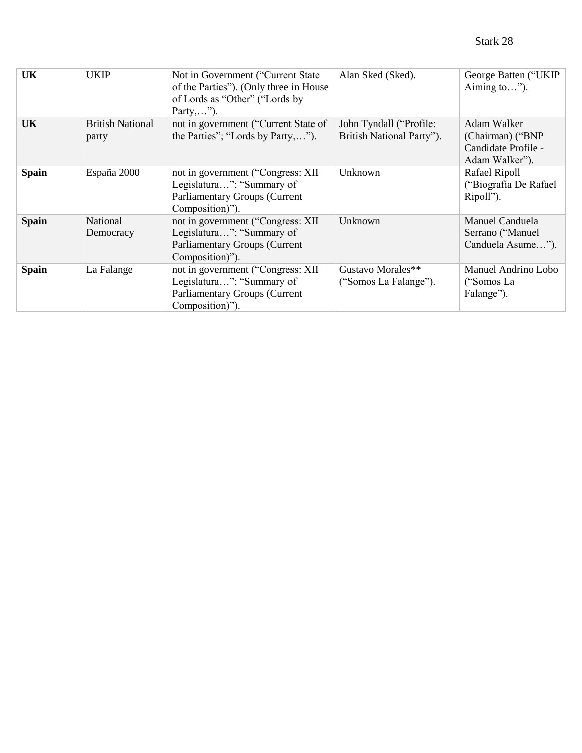| <b>UK</b>    | <b>UKIP</b>                      | Not in Government ("Current State<br>of the Parties"). (Only three in House<br>of Lords as "Other" ("Lords by<br>Party,"). | Alan Sked (Sked).                                    | George Batten ("UKIP<br>Aiming to").                                     |
|--------------|----------------------------------|----------------------------------------------------------------------------------------------------------------------------|------------------------------------------------------|--------------------------------------------------------------------------|
| UK           | <b>British National</b><br>party | not in government ("Current State of<br>the Parties"; "Lords by Party,").                                                  | John Tyndall ("Profile:<br>British National Party"). | Adam Walker<br>(Chairman) ("BNP<br>Candidate Profile -<br>Adam Walker"). |
| <b>Spain</b> | España 2000                      | not in government ("Congress: XII<br>Legislatura"; "Summary of<br><b>Parliamentary Groups (Current</b><br>Composition)").  | Unknown                                              | Rafael Ripoll<br>("Biografía De Rafael<br>Ripoll").                      |
| <b>Spain</b> | National<br>Democracy            | not in government ("Congress: XII<br>Legislatura"; "Summary of<br><b>Parliamentary Groups (Current</b><br>Composition)").  | Unknown                                              | Manuel Canduela<br>Serrano ("Manuel<br>Canduela Asume").                 |
| <b>Spain</b> | La Falange                       | not in government ("Congress: XII<br>Legislatura"; "Summary of<br><b>Parliamentary Groups (Current</b><br>Composition)").  | Gustavo Morales**<br>("Somos La Falange").           | Manuel Andrino Lobo<br>("Somos La<br>Falange").                          |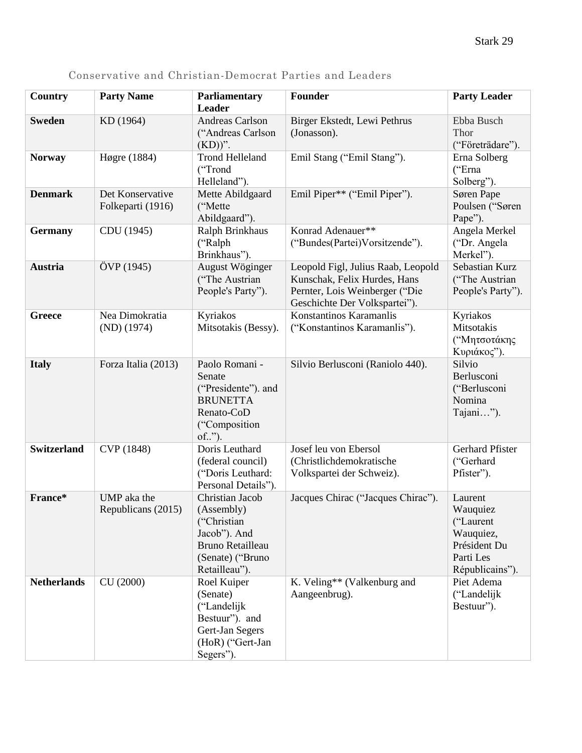| <b>Country</b>     | <b>Party Name</b>                     | <b>Parliamentary</b>                                                                                                         | Founder                                                                                                                               | <b>Party Leader</b>                                                                           |
|--------------------|---------------------------------------|------------------------------------------------------------------------------------------------------------------------------|---------------------------------------------------------------------------------------------------------------------------------------|-----------------------------------------------------------------------------------------------|
| <b>Sweden</b>      | KD (1964)                             | Leader<br>Andreas Carlson                                                                                                    | Birger Ekstedt, Lewi Pethrus                                                                                                          | Ebba Busch                                                                                    |
|                    |                                       | ("Andreas Carlson<br>$(KD)$ ".                                                                                               | (Jonasson).                                                                                                                           | Thor<br>("Företrädare").                                                                      |
| <b>Norway</b>      | Høgre (1884)                          | <b>Trond Helleland</b><br>("Trond<br>Helleland").                                                                            | Emil Stang ("Emil Stang").                                                                                                            | Erna Solberg<br>("Erna<br>Solberg").                                                          |
| <b>Denmark</b>     | Det Konservative<br>Folkeparti (1916) | Mette Abildgaard<br>("Mette<br>Abildgaard").                                                                                 | Emil Piper** ("Emil Piper").                                                                                                          | Søren Pape<br>Poulsen ("Søren<br>Pape").                                                      |
| <b>Germany</b>     | CDU (1945)                            | Ralph Brinkhaus<br>("Ralph<br>Brinkhaus").                                                                                   | Konrad Adenauer**<br>("Bundes(Partei)Vorsitzende").                                                                                   | Angela Merkel<br>("Dr. Angela<br>Merkel").                                                    |
| Austria            | ÖVP (1945)                            | August Wöginger<br>("The Austrian<br>People's Party").                                                                       | Leopold Figl, Julius Raab, Leopold<br>Kunschak, Felix Hurdes, Hans<br>Pernter, Lois Weinberger ("Die<br>Geschichte Der Volkspartei"). | Sebastian Kurz<br>("The Austrian<br>People's Party").                                         |
| <b>Greece</b>      | Nea Dimokratia<br>$(ND)$ (1974)       | Kyriakos<br>Mitsotakis (Bessy).                                                                                              | Konstantinos Karamanlis<br>("Konstantinos Karamanlis").                                                                               | Kyriakos<br>Mitsotakis<br>("Μητσοτάκης<br>Κυριάκος").                                         |
| <b>Italy</b>       | Forza Italia (2013)                   | Paolo Romani -<br>Senate<br>("Presidente"). and<br><b>BRUNETTA</b><br>Renato-CoD<br>("Composition<br>of").                   | Silvio Berlusconi (Raniolo 440).                                                                                                      | Silvio<br>Berlusconi<br>("Berlusconi<br>Nomina<br>Tajani").                                   |
| <b>Switzerland</b> | CVP (1848)                            | Doris Leuthard<br>(federal council)<br>("Doris Leuthard:<br>Personal Details").                                              | Josef leu von Ebersol<br>(Christlichdemokratische<br>Volkspartei der Schweiz).                                                        | Gerhard Pfister<br>("Gerhard<br>Pfister").                                                    |
| France*            | UMP aka the<br>Republicans (2015)     | Christian Jacob<br>(Assembly)<br>("Christian<br>Jacob"). And<br><b>Bruno Retailleau</b><br>(Senate) ("Bruno<br>Retailleau"). | Jacques Chirac ("Jacques Chirac").                                                                                                    | Laurent<br>Wauquiez<br>("Laurent<br>Wauquiez,<br>Président Du<br>Parti Les<br>Républicains"). |
| <b>Netherlands</b> | CU (2000)                             | Roel Kuiper<br>(Senate)<br>("Landelijk<br>Bestuur"). and<br>Gert-Jan Segers<br>(HoR) ("Gert-Jan<br>Segers").                 | K. Veling** (Valkenburg and<br>Aangeenbrug).                                                                                          | Piet Adema<br>("Landelijk<br>Bestuur").                                                       |

Conservative and Christian-Democrat Parties and Leaders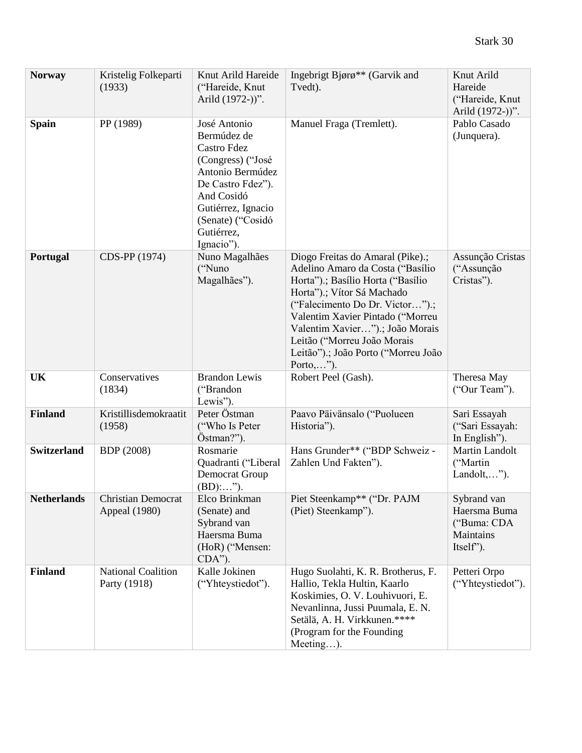| <b>Norway</b>      | Kristelig Folkeparti<br>(1933)             | Knut Arild Hareide<br>("Hareide, Knut<br>Arild (1972-))".                                                                                                                                     | Ingebrigt Bjørø** (Garvik and<br>Tvedt).                                                                                                                                                                                                                                                                                             | Knut Arild<br>Hareide<br>("Hareide, Knut<br>Arild (1972-))".         |
|--------------------|--------------------------------------------|-----------------------------------------------------------------------------------------------------------------------------------------------------------------------------------------------|--------------------------------------------------------------------------------------------------------------------------------------------------------------------------------------------------------------------------------------------------------------------------------------------------------------------------------------|----------------------------------------------------------------------|
| <b>Spain</b>       | PP (1989)                                  | José Antonio<br>Bermúdez de<br>Castro Fdez<br>(Congress) ("José<br>Antonio Bermúdez<br>De Castro Fdez").<br>And Cosidó<br>Gutiérrez, Ignacio<br>(Senate) ("Cosidó<br>Gutiérrez,<br>Ignacio"). | Manuel Fraga (Tremlett).                                                                                                                                                                                                                                                                                                             | Pablo Casado<br>(Junquera).                                          |
| Portugal           | CDS-PP (1974)                              | Nuno Magalhães<br>("Nuno<br>Magalhães").                                                                                                                                                      | Diogo Freitas do Amaral (Pike).;<br>Adelino Amaro da Costa ("Basílio<br>Horta").; Basílio Horta ("Basílio<br>Horta").; Vítor Sá Machado<br>("Falecimento Do Dr. Victor").;<br>Valentim Xavier Pintado ("Morreu<br>Valentim Xavier").; João Morais<br>Leitão ("Morreu João Morais<br>Leitão").; João Porto ("Morreu João<br>Porto,"). | Assunção Cristas<br>("Assunção<br>Cristas").                         |
| <b>UK</b>          | Conservatives<br>(1834)                    | <b>Brandon Lewis</b><br>("Brandon<br>Lewis").                                                                                                                                                 | Robert Peel (Gash).                                                                                                                                                                                                                                                                                                                  | Theresa May<br>("Our Team").                                         |
| <b>Finland</b>     | Kristillisdemokraatit<br>(1958)            | Peter Östman<br>("Who Is Peter<br>Östman?").                                                                                                                                                  | Paavo Päivänsalo ("Puolueen<br>Historia").                                                                                                                                                                                                                                                                                           | Sari Essayah<br>("Sari Essayah:<br>In English").                     |
| <b>Switzerland</b> | <b>BDP</b> (2008)                          | Rosmarie<br>Quadranti ("Liberal<br>Democrat Group<br>$(BD)$ :").                                                                                                                              | Hans Grunder** ("BDP Schweiz -<br>Zahlen Und Fakten").                                                                                                                                                                                                                                                                               | <b>Martin Landolt</b><br>("Martin<br>Landolt,").                     |
| <b>Netherlands</b> | <b>Christian Democrat</b><br>Appeal (1980) | Elco Brinkman<br>(Senate) and<br>Sybrand van<br>Haersma Buma<br>(HoR) ("Mensen:<br>$CDA$ ").                                                                                                  | Piet Steenkamp** ("Dr. PAJM<br>(Piet) Steenkamp").                                                                                                                                                                                                                                                                                   | Sybrand van<br>Haersma Buma<br>("Buma: CDA<br>Maintains<br>Itself"). |
| <b>Finland</b>     | National Coalition<br>Party (1918)         | Kalle Jokinen<br>("Yhteystiedot").                                                                                                                                                            | Hugo Suolahti, K. R. Brotherus, F.<br>Hallio, Tekla Hultin, Kaarlo<br>Koskimies, O. V. Louhivuori, E.<br>Nevanlinna, Jussi Puumala, E. N.<br>Setälä, A. H. Virkkunen.****<br>(Program for the Founding<br>Meeting).                                                                                                                  | Petteri Orpo<br>("Yhteystiedot").                                    |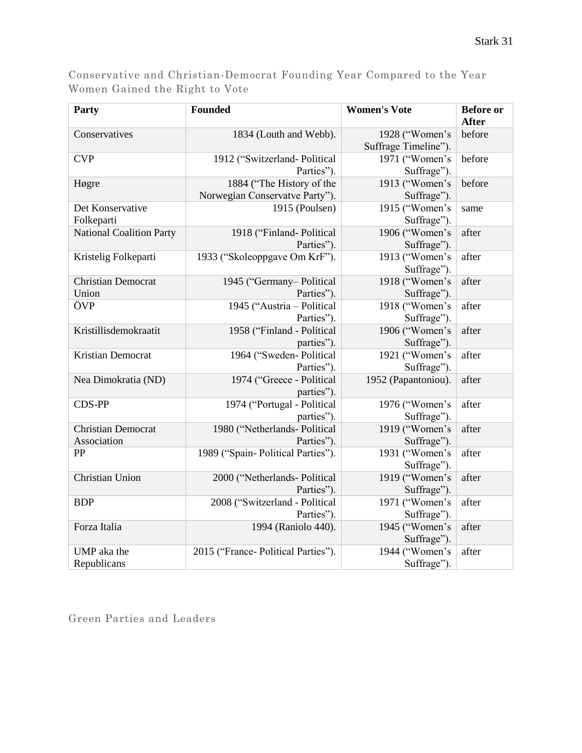Conservative and Christian-Democrat Founding Year Compared to the Year Women Gained the Right to Vote

| <b>Party</b>                             | Founded                                                     | <b>Women's Vote</b>                    | <b>Before</b> or<br><b>After</b> |
|------------------------------------------|-------------------------------------------------------------|----------------------------------------|----------------------------------|
| Conservatives                            | 1834 (Louth and Webb).                                      | 1928 ("Women's<br>Suffrage Timeline"). | before                           |
| <b>CVP</b>                               | 1912 ("Switzerland-Political<br>Parties").                  | 1971 ("Women's<br>Suffrage").          | before                           |
| Høgre                                    | 1884 ("The History of the<br>Norwegian Conservatve Party"). | 1913 ("Women's<br>Suffrage").          | before                           |
| Det Konservative<br>Folkeparti           | 1915 (Poulsen)                                              | 1915 ("Women's<br>Suffrage").          | same                             |
| <b>National Coalition Party</b>          | 1918 ("Finland-Political<br>Parties").                      | 1906 ("Women's<br>Suffrage").          | after                            |
| Kristelig Folkeparti                     | 1933 ("Skoleoppgave Om KrF").                               | 1913 ("Women's<br>Suffrage").          | after                            |
| <b>Christian Democrat</b><br>Union       | 1945 ("Germany-Political<br>Parties").                      | 1918 ("Women's<br>Suffrage").          | after                            |
| ÖVP                                      | 1945 ("Austria - Political<br>Parties").                    | 1918 ("Women's<br>Suffrage").          | after                            |
| Kristillisdemokraatit                    | 1958 ("Finland - Political<br>parties").                    | 1906 ("Women's<br>Suffrage").          | after                            |
| Kristian Democrat                        | 1964 ("Sweden-Political<br>Parties").                       | 1921 ("Women's<br>Suffrage").          | after                            |
| Nea Dimokratia (ND)                      | 1974 ("Greece - Political<br>parties").                     | 1952 (Papantoniou).                    | after                            |
| <b>CDS-PP</b>                            | 1974 ("Portugal - Political<br>parties").                   | 1976 ("Women's<br>Suffrage").          | after                            |
| <b>Christian Democrat</b><br>Association | 1980 ("Netherlands- Political<br>Parties").                 | 1919 ("Women's<br>Suffrage").          | after                            |
| PP                                       | 1989 ("Spain-Political Parties").                           | 1931 ("Women's<br>Suffrage").          | after                            |
| Christian Union                          | 2000 ("Netherlands- Political<br>Parties").                 | 1919 ("Women's<br>Suffrage").          | after                            |
| <b>BDP</b>                               | 2008 ("Switzerland - Political<br>Parties").                | 1971 ("Women's<br>Suffrage").          | after                            |
| Forza Italia                             | 1994 (Raniolo 440).                                         | 1945 ("Women's<br>Suffrage").          | after                            |
| UMP aka the<br>Republicans               | 2015 ("France- Political Parties").                         | 1944 ("Women's<br>Suffrage").          | after                            |

Green Parties and Leaders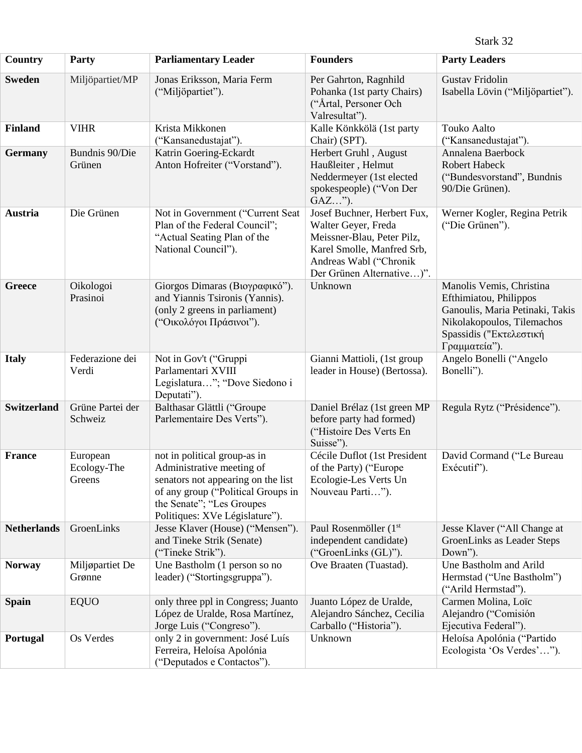Stark 32

| <b>Country</b>     | Party                             | <b>Parliamentary Leader</b>                                                                                                                                                                          | <b>Founders</b>                                                                                                                                                       | <b>Party Leaders</b>                                                                                                                                            |
|--------------------|-----------------------------------|------------------------------------------------------------------------------------------------------------------------------------------------------------------------------------------------------|-----------------------------------------------------------------------------------------------------------------------------------------------------------------------|-----------------------------------------------------------------------------------------------------------------------------------------------------------------|
| <b>Sweden</b>      | Miljöpartiet/MP                   | Jonas Eriksson, Maria Ferm<br>("Miljöpartiet").                                                                                                                                                      | Per Gahrton, Ragnhild<br>Pohanka (1st party Chairs)<br>("Årtal, Personer Och<br>Valresultat").                                                                        | <b>Gustav Fridolin</b><br>Isabella Lövin ("Miljöpartiet").                                                                                                      |
| <b>Finland</b>     | <b>VIHR</b>                       | Krista Mikkonen<br>("Kansanedustajat").                                                                                                                                                              | Kalle Könkkölä (1st party<br>Chair) (SPT).                                                                                                                            | <b>Touko Aalto</b><br>("Kansanedustajat").                                                                                                                      |
| <b>Germany</b>     | Bundnis 90/Die<br>Grünen          | Katrin Goering-Eckardt<br>Anton Hofreiter ("Vorstand").                                                                                                                                              | Herbert Gruhl, August<br>Haußleiter, Helmut<br>Neddermeyer (1st elected<br>spokespeople) ("Von Der<br>$GAZ$ ").                                                       | Annalena Baerbock<br><b>Robert Habeck</b><br>("Bundesvorstand", Bundnis<br>90/Die Grünen).                                                                      |
| Austria            | Die Grünen                        | Not in Government ("Current Seat<br>Plan of the Federal Council";<br>"Actual Seating Plan of the<br>National Council").                                                                              | Josef Buchner, Herbert Fux,<br>Walter Geyer, Freda<br>Meissner-Blau, Peter Pilz,<br>Karel Smolle, Manfred Srb,<br>Andreas Wabl ("Chronik<br>Der Grünen Alternative)". | Werner Kogler, Regina Petrik<br>("Die Grünen").                                                                                                                 |
| <b>Greece</b>      | Oikologoi<br>Prasinoi             | Giorgos Dimaras (Βιογραφικό").<br>and Yiannis Tsironis (Yannis).<br>(only 2 greens in parliament)<br>("Οικολόγοι Πράσινοι").                                                                         | Unknown                                                                                                                                                               | Manolis Vemis, Christina<br>Efthimiatou, Philippos<br>Ganoulis, Maria Petinaki, Takis<br>Nikolakopoulos, Tilemachos<br>Spassidis ("Εκτελεστική<br>Γραμματεία"). |
| <b>Italy</b>       | Federazione dei<br>Verdi          | Not in Gov't ("Gruppi<br>Parlamentari XVIII<br>Legislatura"; "Dove Siedono i<br>Deputati").                                                                                                          | Gianni Mattioli, (1st group<br>leader in House) (Bertossa).                                                                                                           | Angelo Bonelli ("Angelo<br>Bonelli").                                                                                                                           |
| <b>Switzerland</b> | Grüne Partei der<br>Schweiz       | Balthasar Glättli ("Groupe<br>Parlementaire Des Verts").                                                                                                                                             | Daniel Brélaz (1st green MP<br>before party had formed)<br>("Histoire Des Verts En<br>Suisse").                                                                       | Regula Rytz ("Présidence").                                                                                                                                     |
| France             | European<br>Ecology-The<br>Greens | not in political group-as in<br>Administrative meeting of<br>senators not appearing on the list<br>of any group ("Political Groups in<br>the Senate"; "Les Groupes<br>Politiques: XVe Législature"). | Cécile Duflot (1st President<br>of the Party) ("Europe"<br>Ecologie-Les Verts Un<br>Nouveau Parti").                                                                  | David Cormand ("Le Bureau<br>Exécutif").                                                                                                                        |
| <b>Netherlands</b> | GroenLinks                        | Jesse Klaver (House) ("Mensen").<br>and Tineke Strik (Senate)<br>("Tineke Strik").                                                                                                                   | Paul Rosenmöller (1 <sup>st</sup><br>independent candidate)<br>("GroenLinks (GL)").                                                                                   | Jesse Klaver ("All Change at<br>GroenLinks as Leader Steps<br>Down").                                                                                           |
| <b>Norway</b>      | Miljøpartiet De<br>Grønne         | Une Bastholm (1 person so no<br>leader) ("Stortingsgruppa").                                                                                                                                         | Ove Braaten (Tuastad).                                                                                                                                                | Une Bastholm and Arild<br>Hermstad ("Une Bastholm")<br>("Arild Hermstad").                                                                                      |
| <b>Spain</b>       | <b>EQUO</b>                       | only three ppl in Congress; Juanto<br>López de Uralde, Rosa Martínez,<br>Jorge Luis ("Congreso").                                                                                                    | Juanto López de Uralde,<br>Alejandro Sánchez, Cecilia<br>Carballo ("Historia").                                                                                       | Carmen Molina, Loïc<br>Alejandro ("Comisión<br>Ejecutiva Federal").                                                                                             |
| Portugal           | Os Verdes                         | only 2 in government: José Luís<br>Ferreira, Heloísa Apolónia<br>("Deputados e Contactos").                                                                                                          | Unknown                                                                                                                                                               | Heloísa Apolónia ("Partido<br>Ecologista 'Os Verdes'").                                                                                                         |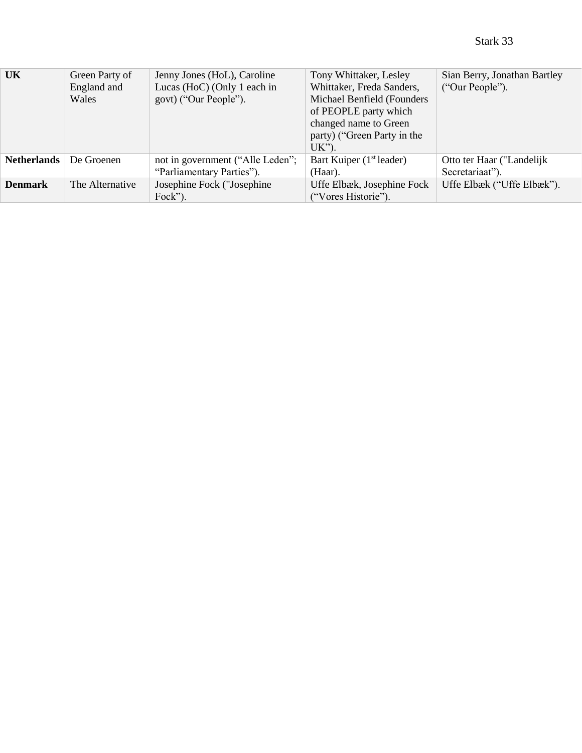| <b>UK</b>          | Green Party of  | Jenny Jones (HoL), Caroline      | Tony Whittaker, Lesley               | Sian Berry, Jonathan Bartley |
|--------------------|-----------------|----------------------------------|--------------------------------------|------------------------------|
|                    | England and     | Lucas (HoC) (Only 1 each in      | Whittaker, Freda Sanders,            | ("Our People").              |
|                    | Wales           | govt) ("Our People").            | Michael Benfield (Founders           |                              |
|                    |                 |                                  | of PEOPLE party which                |                              |
|                    |                 |                                  | changed name to Green                |                              |
|                    |                 |                                  | party) ("Green Party in the          |                              |
|                    |                 |                                  | $UK$ ").                             |                              |
| <b>Netherlands</b> | De Groenen      | not in government ("Alle Leden"; | Bart Kuiper (1 <sup>st</sup> leader) | Otto ter Haar ("Landelijk    |
|                    |                 | "Parliamentary Parties").        | (Haar).                              | Secretariaat").              |
| <b>Denmark</b>     | The Alternative | Josephine Fock ("Josephine"      | Uffe Elbæk, Josephine Fock           | Uffe Elbæk ("Uffe Elbæk").   |
|                    |                 | Fock").                          | ("Vores Historie").                  |                              |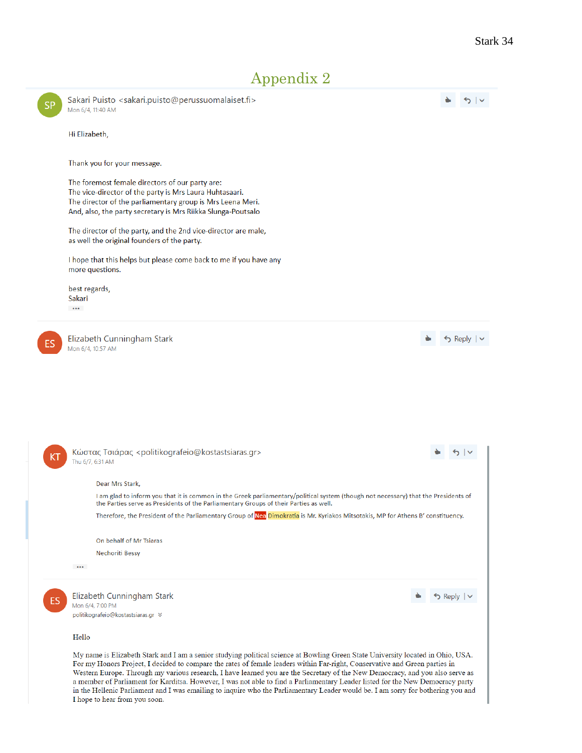# Appendix 2



a member of Parliament for Karditsa. However, I was not able to find a Parliamentary Leader listed for the New Democracy party in the Hellenic Parliament and I was emailing to inquire who the Parliamentary Leader would be. I am sorry for bothering you and I hope to hear from you soon.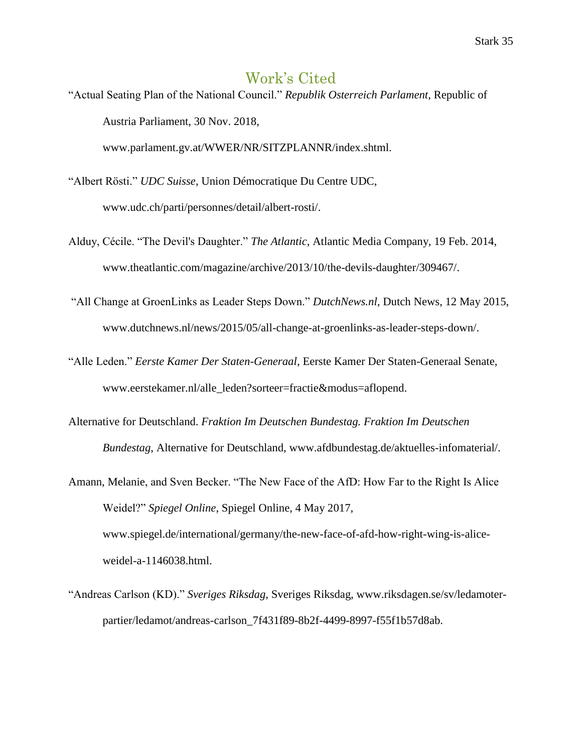## Work's Cited

"Actual Seating Plan of the National Council." *Republik Osterreich Parlament*, Republic of Austria Parliament, 30 Nov. 2018,

www.parlament.gv.at/WWER/NR/SITZPLANNR/index.shtml.

- "Albert Rösti." *UDC Suisse*, Union Démocratique Du Centre UDC, [www.udc.ch/parti/personnes/detail/albert-rosti/.](http://www.udc.ch/parti/personnes/detail/albert-rosti/)
- Alduy, Cécile. "The Devil's Daughter." *The Atlantic*, Atlantic Media Company, 19 Feb. 2014, www.theatlantic.com/magazine/archive/2013/10/the-devils-daughter/309467/.
- "All Change at GroenLinks as Leader Steps Down." *DutchNews.nl,* Dutch News, 12 May 2015, [www.dutchnews.nl/news/2015/05/all-change-at-groenlinks-as-leader-steps-down/.](http://www.dutchnews.nl/news/2015/05/all-change-at-groenlinks-as-leader-steps-down/)
- "Alle Leden." *Eerste Kamer Der Staten-Generaal*, Eerste Kamer Der Staten-Generaal Senate, www.eerstekamer.nl/alle\_leden?sorteer=fractie&modus=aflopend.
- Alternative for Deutschland. *Fraktion Im Deutschen Bundestag. Fraktion Im Deutschen Bundestag*, Alternative for Deutschland, www.afdbundestag.de/aktuelles-infomaterial/.
- Amann, Melanie, and Sven Becker. "The New Face of the AfD: How Far to the Right Is Alice Weidel?" *Spiegel Online*, Spiegel Online, 4 May 2017, [www.spiegel.de/international/germany/the-new-face-of-afd-how-right-wing-is-alice](http://www.spiegel.de/international/germany/the-new-face-of-afd-how-right-wing-is-alice-)weidel-a-1146038.html.
- "Andreas Carlson (KD)." *Sveriges Riksdag*, Sveriges Riksdag, [www.riksdagen.se/sv/ledamoter](http://www.riksdagen.se/sv/ledamoter-)partier/ledamot/andreas-carlson\_7f431f89-8b2f-4499-8997-f55f1b57d8ab.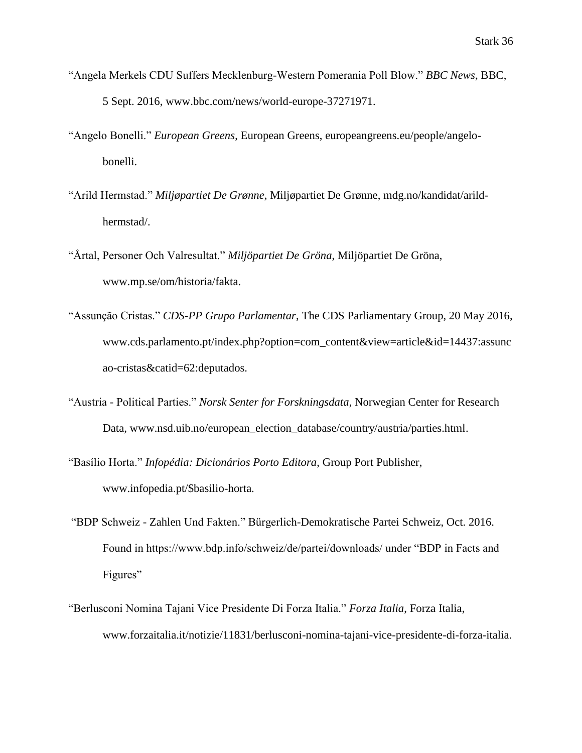- "Angela Merkels CDU Suffers Mecklenburg-Western Pomerania Poll Blow." *BBC News*, BBC, 5 Sept. 2016, www.bbc.com/news/world-europe-37271971.
- "Angelo Bonelli." *European Greens*, European Greens, europeangreens.eu/people/angelobonelli.
- "Arild Hermstad." *Miljøpartiet De Grønne*, Miljøpartiet De Grønne, mdg.no/kandidat/arildhermstad/.
- "Årtal, Personer Och Valresultat." *Miljöpartiet De Gröna*, Miljöpartiet De Gröna, www.mp.se/om/historia/fakta.
- "Assunção Cristas." *CDS-PP Grupo Parlamentar*, The CDS Parliamentary Group, 20 May 2016, [www.cds.parlamento.pt/index.php?option=com\\_content&view=article&id=14437:assunc](http://www.cds.parlamento.pt/index.php?option=com_content&view=article&id=14437:assunc) ao-cristas&catid=62:deputados.
- "Austria Political Parties." *Norsk Senter for Forskningsdata*, Norwegian Center for Research Data, [www.nsd.uib.no/european\\_election\\_database/country/austria/parties.html.](http://www.nsd.uib.no/european_election_database/country/austria/parties.html)
- "Basílio Horta." *Infopédia: Dicionários Porto Editora*, Group Port Publisher, www.infopedia.pt/\$basilio-horta.
- "BDP Schweiz Zahlen Und Fakten." Bürgerlich-Demokratische Partei Schweiz, Oct. 2016. Found in https://www.bdp.info/schweiz/de/partei/downloads/ under "BDP in Facts and Figures"
- "Berlusconi Nomina Tajani Vice Presidente Di Forza Italia." *Forza Italia*, Forza Italia, [www.forzaitalia.it/notizie/11831/berlusconi-nomina-tajani-vice-presidente-di-forza-italia.](http://www.forzaitalia.it/notizie/11831/berlusconi-nomina-tajani-vice-presidente-di-forza-italia)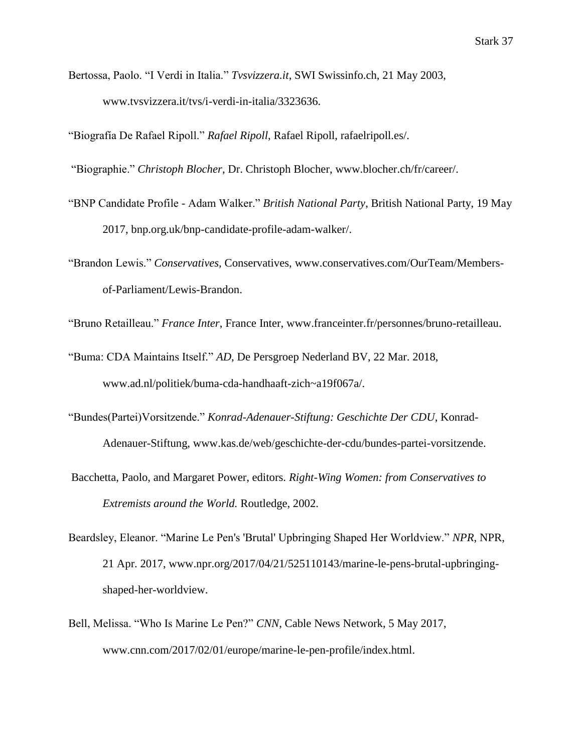Bertossa, Paolo. "I Verdi in Italia." *Tvsvizzera.it*, SWI Swissinfo.ch, 21 May 2003, www.tvsvizzera.it/tvs/i-verdi-in-italia/3323636.

"Biografía De Rafael Ripoll." *Rafael Ripoll*, Rafael Ripoll, rafaelripoll.es/.

"Biographie." *Christoph Blocher*, Dr. Christoph Blocher, [www.blocher.ch/fr/career/.](http://www.blocher.ch/fr/career/)

- "BNP Candidate Profile Adam Walker." *British National Party*, British National Party, 19 May 2017, bnp.org.uk/bnp-candidate-profile-adam-walker/.
- "Brandon Lewis." *Conservatives,* Conservatives, [www.conservatives.com/OurTeam/Members](http://www.conservatives.com/OurTeam/Members-)of-Parliament/Lewis-Brandon.

"Bruno Retailleau." *France Inter*, France Inter, [www.franceinter.fr/personnes/bruno-retailleau.](http://www.franceinter.fr/personnes/bruno-retailleau)

"Buma: CDA Maintains Itself." *AD*, De Persgroep Nederland BV, 22 Mar. 2018, [www.ad.nl/politiek/buma-cda-handhaaft-zich~a19f067a/.](http://www.ad.nl/politiek/buma-cda-handhaaft-zich~a19f067a/)

- "Bundes(Partei)Vorsitzende." *Konrad-Adenauer-Stiftung: Geschichte Der CDU*, Konrad-Adenauer-Stiftung, www.kas.de/web/geschichte-der-cdu/bundes-partei-vorsitzende.
- Bacchetta, Paolo, and Margaret Power, editors. *Right-Wing Women: from Conservatives to Extremists around the World.* Routledge, 2002.
- Beardsley, Eleanor. "Marine Le Pen's 'Brutal' Upbringing Shaped Her Worldview." *NPR*, NPR, 21 Apr. 2017, www.npr.org/2017/04/21/525110143/marine-le-pens-brutal-upbringingshaped-her-worldview.
- Bell, Melissa. "Who Is Marine Le Pen?" *CNN,* Cable News Network, 5 May 2017, www.cnn.com/2017/02/01/europe/marine-le-pen-profile/index.html.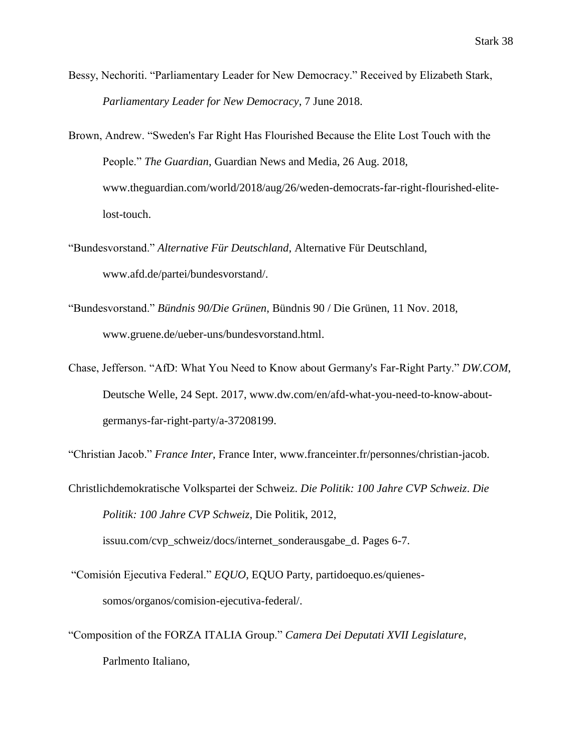- Bessy, Nechoriti. "Parliamentary Leader for New Democracy." Received by Elizabeth Stark, *Parliamentary Leader for New Democracy*, 7 June 2018.
- Brown, Andrew. "Sweden's Far Right Has Flourished Because the Elite Lost Touch with the People." *The Guardian*, Guardian News and Media, 26 Aug. 2018, www.theguardian.com/world/2018/aug/26/weden-democrats-far-right-flourished-elitelost-touch.
- "Bundesvorstand." *Alternative Für Deutschland*, Alternative Für Deutschland, [www.afd.de/partei/bundesvorstand/.](http://www.afd.de/partei/bundesvorstand/)
- "Bundesvorstand." *Bündnis 90/Die Grünen*, Bündnis 90 / Die Grünen, 11 Nov. 2018, [www.gruene.de/ueber-uns/bundesvorstand.html.](http://www.gruene.de/ueber-uns/bundesvorstand.html)
- Chase, Jefferson. "AfD: What You Need to Know about Germany's Far-Right Party." *DW.COM*, Deutsche Welle, 24 Sept. 2017, www.dw.com/en/afd-what-you-need-to-know-aboutgermanys-far-right-party/a-37208199.

"Christian Jacob." *France Inter*, France Inter, [www.franceinter.fr/personnes/christian-jacob.](http://www.franceinter.fr/personnes/christian-jacob)

- Christlichdemokratische Volkspartei der Schweiz. *Die Politik: 100 Jahre CVP Schweiz*. *Die Politik: 100 Jahre CVP Schweiz*, Die Politik, 2012, issuu.com/cvp\_schweiz/docs/internet\_sonderausgabe\_d. Pages 6-7.
- "Comisión Ejecutiva Federal." *EQUO*, EQUO Party, partidoequo.es/quienessomos/organos/comision-ejecutiva-federal/.
- "Composition of the FORZA ITALIA Group." *Camera Dei Deputati XVII Legislature*, Parlmento Italiano,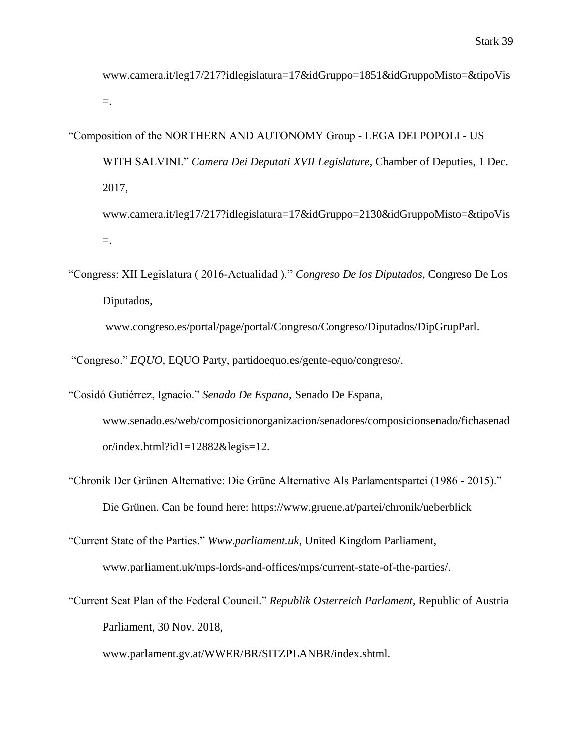[www.camera.it/leg17/217?idlegislatura=17&idGruppo=1851&idGruppoMisto=&tipoVis](http://www.camera.it/leg17/217?idlegislatura=17&idGruppo=1851&idGruppoMisto=&tipoVis) =.

"Composition of the NORTHERN AND AUTONOMY Group - LEGA DEI POPOLI - US WITH SALVINI." *Camera Dei Deputati XVII Legislature*, Chamber of Deputies, 1 Dec. 2017, [www.camera.it/leg17/217?idlegislatura=17&idGruppo=2130&idGruppoMisto=&tipoVis](http://www.camera.it/leg17/217?idlegislatura=17&idGruppo=2130&idGruppoMisto=&tipoVis)

=.

"Congress: XII Legislatura ( 2016-Actualidad )." *Congreso De los Diputados*, Congreso De Los Diputados,

www.congreso.es/portal/page/portal/Congreso/Congreso/Diputados/DipGrupParl.

"Congreso." *EQUO*, EQUO Party, partidoequo.es/gente-equo/congreso/.

"Cosidó Gutiérrez, Ignacio." *Senado De Espana*, Senado De Espana, [www.senado.es/web/composicionorganizacion/senadores/composicionsenado/fichasenad](http://www.senado.es/web/composicionorganizacion/senadores/composicionsenado/fichasenad) or/index.html?id1=12882&legis=12.

- "Chronik Der Grünen Alternative: Die Grüne Alternative Als Parlamentspartei (1986 2015)." Die Grünen. Can be found here:<https://www.gruene.at/partei/chronik/ueberblick>
- "Current State of the Parties." *Www.parliament.uk*, United Kingdom Parliament, [www.parliament.uk/mps-lords-and-offices/mps/current-state-of-the-parties/.](http://www.parliament.uk/mps-lords-and-offices/mps/current-state-of-the-parties/)

www.parlament.gv.at/WWER/BR/SITZPLANBR/index.shtml.

<sup>&</sup>quot;Current Seat Plan of the Federal Council." *Republik Osterreich Parlament,* Republic of Austria Parliament, 30 Nov. 2018,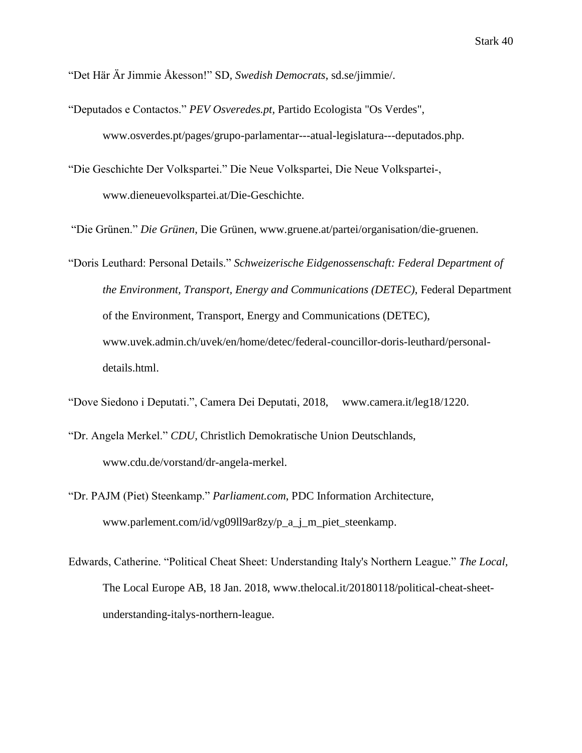"Det Här Är Jimmie Åkesson!" SD*, Swedish Democrats*, sd.se/jimmie/.

- "Deputados e Contactos." *PEV Osveredes.pt,* Partido Ecologista "Os Verdes", [www.osverdes.pt/pages/grupo-parlamentar---atual-legislatura---deputados.php.](http://www.osverdes.pt/pages/grupo-parlamentar---atual-legislatura---deputados.php)
- "Die Geschichte Der Volkspartei." Die Neue Volkspartei, Die Neue Volkspartei, www.dieneuevolkspartei.at/Die-Geschichte.
- "Die Grünen." *Die Grünen*, Die Grünen, [www.gruene.at/partei/organisation/die-gruenen.](http://www.gruene.at/partei/organisation/die-gruenen)
- "Doris Leuthard: Personal Details." *Schweizerische Eidgenossenschaft: Federal Department of the Environment, Transport, Energy and Communications (DETEC)*, Federal Department of the Environment, Transport, Energy and Communications (DETEC), [www.uvek.admin.ch/uvek/en/home/detec/federal-councillor-doris-leuthard/personal](http://www.uvek.admin.ch/uvek/en/home/detec/federal-councillor-doris-leuthard/personal-)details.html.
- "Dove Siedono i Deputati.", Camera Dei Deputati, 2018, www.camera.it/leg18/1220.
- "Dr. Angela Merkel." *CDU*, Christlich Demokratische Union Deutschlands, [www.cdu.de/vorstand/dr-angela-merkel.](http://www.cdu.de/vorstand/dr-angela-merkel)
- "Dr. PAJM (Piet) Steenkamp." *Parliament.com*, PDC Information Architecture, [www.parlement.com/id/vg09ll9ar8zy/p\\_a\\_j\\_m\\_piet\\_steenkamp.](http://www.parlement.com/id/vg09ll9ar8zy/p_a_j_m_piet_steenkamp)
- Edwards, Catherine. "Political Cheat Sheet: Understanding Italy's Northern League." *The Local,* The Local Europe AB, 18 Jan. 2018, [www.thelocal.it/20180118/political-cheat-sheet](http://www.thelocal.it/20180118/political-cheat-sheet-)understanding-italys-northern-league.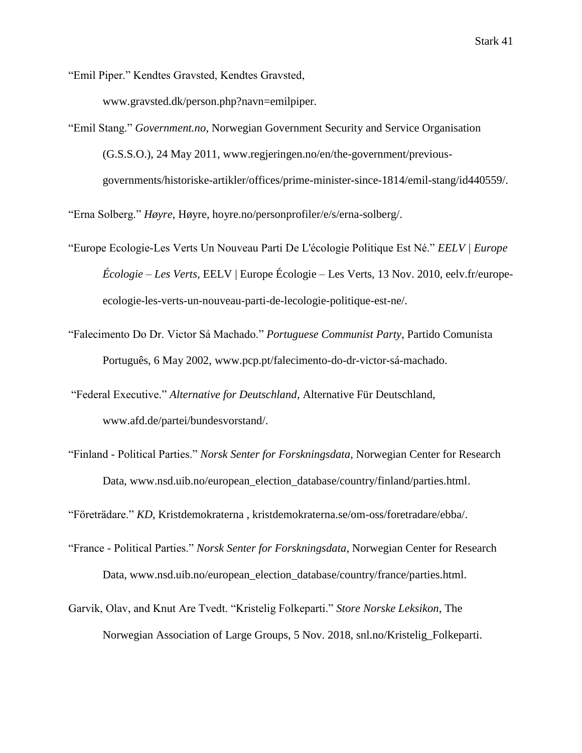"Emil Piper." Kendtes Gravsted, Kendtes Gravsted, www.gravsted.dk/person.php?navn=emilpiper.

"Emil Stang." *Government.no*, Norwegian Government Security and Service Organisation (G.S.S.O.), 24 May 2011, [www.regjeringen.no/en/the-government/previous](http://www.regjeringen.no/en/the-government/previous-)governments/historiske-artikler/offices/prime-minister-since-1814/emil-stang/id440559/.

"Erna Solberg." *Høyre*, Høyre, hoyre.no/personprofiler/e/s/erna-solberg/.

- "Europe Ecologie-Les Verts Un Nouveau Parti De L'écologie Politique Est Né." *EELV | Europe Écologie – Les Verts*, EELV | Europe Écologie – Les Verts, 13 Nov. 2010, eelv.fr/europeecologie-les-verts-un-nouveau-parti-de-lecologie-politique-est-ne/.
- "Falecimento Do Dr. Victor Sá Machado." *Portuguese Communist Party*, Partido Comunista Português, 6 May 2002, www.pcp.pt/falecimento-do-dr-victor-sá-machado.
- "Federal Executive." *Alternative for Deutschland*, Alternative Für Deutschland, www.afd.de/partei/bundesvorstand/.
- "Finland Political Parties." *Norsk Senter for Forskningsdata*, Norwegian Center for Research Data, [www.nsd.uib.no/european\\_election\\_database/country/finland/parties.html.](http://www.nsd.uib.no/european_election_database/country/finland/parties.html)

"Företrädare." *KD*, Kristdemokraterna , kristdemokraterna.se/om-oss/foretradare/ebba/.

- "France Political Parties." *Norsk Senter for Forskningsdata*, Norwegian Center for Research Data, [www.nsd.uib.no/european\\_election\\_database/country/france/parties.html.](http://www.nsd.uib.no/european_election_database/country/france/parties.html)
- Garvik, Olav, and Knut Are Tvedt. "Kristelig Folkeparti." *Store Norske Leksikon*, The Norwegian Association of Large Groups, 5 Nov. 2018, snl.no/Kristelig\_Folkeparti.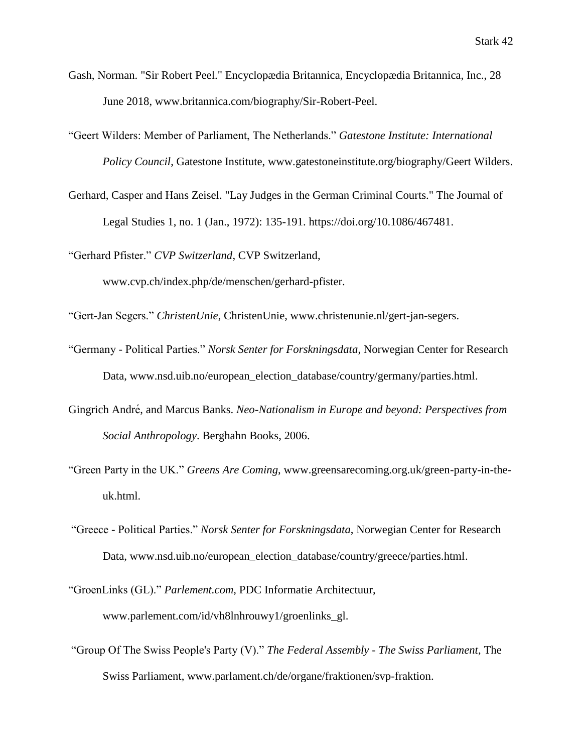- Gash, Norman. "Sir Robert Peel." Encyclopædia Britannica, Encyclopædia Britannica, Inc., 28 June 2018, [www.britannica.com/biography/Sir-Robert-Peel.](http://www.britannica.com/biography/Sir-Robert-Peel)
- "Geert Wilders: Member of Parliament, The Netherlands." *Gatestone Institute: International Policy Council*, Gatestone Institute, www.gatestoneinstitute.org/biography/Geert Wilders.
- Gerhard, Casper and Hans Zeisel. "Lay Judges in the German Criminal Courts." The Journal of Legal Studies 1, no. 1 (Jan., 1972): 135-191. [https://doi.org/10.1086/467481.](https://doi.org/10.1086/467481)

"Gerhard Pfister." *CVP Switzerland*, CVP Switzerland,

www.cvp.ch/index.php/de/menschen/gerhard-pfister.

"Gert-Jan Segers." *ChristenUnie*, ChristenUnie, [www.christenunie.nl/gert-jan-segers.](http://www.christenunie.nl/gert-jan-segers)

- "Germany Political Parties." *Norsk Senter for Forskningsdata*, Norwegian Center for Research Data, [www.nsd.uib.no/european\\_election\\_database/country/germany/parties.html.](http://www.nsd.uib.no/european_election_database/country/germany/parties.html)
- Gingrich André , and Marcus Banks. *Neo-Nationalism in Europe and beyond: Perspectives from Social Anthropology*. Berghahn Books, 2006.
- "Green Party in the UK." *Greens Are Coming*, [www.greensarecoming.org.uk/green-party-in-the](http://www.greensarecoming.org.uk/green-party-in-the-)uk.html.
- "Greece Political Parties." *Norsk Senter for Forskningsdata*, Norwegian Center for Research Data, [www.nsd.uib.no/european\\_election\\_database/country/greece/parties.html.](http://www.nsd.uib.no/european_election_database/country/greece/parties.html)
- "GroenLinks (GL)." *Parlement.com,* PDC Informatie Architectuur, www.parlement.com/id/vh8lnhrouwy1/groenlinks\_gl.
- "Group Of The Swiss People's Party (V)." *The Federal Assembly - The Swiss Parliament*, The Swiss Parliament, [www.parlament.ch/de/organe/fraktionen/svp-fraktion.](http://www.parlament.ch/de/organe/fraktionen/svp-fraktion)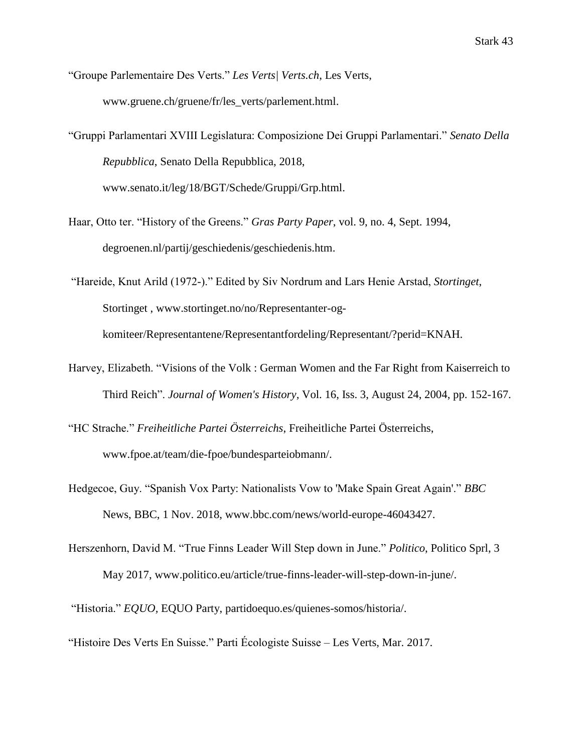"Groupe Parlementaire Des Verts." *Les Verts| Verts.ch*, Les Verts, [www.gruene.ch/gruene/fr/les\\_verts/parlement.html.](http://www.gruene.ch/gruene/fr/les_verts/parlement.html)

"Gruppi Parlamentari XVIII Legislatura: Composizione Dei Gruppi Parlamentari." *Senato Della Repubblica*, Senato Della Repubblica, 2018, www.senato.it/leg/18/BGT/Schede/Gruppi/Grp.html.

Haar, Otto ter. "History of the Greens." *Gras Party Paper*, vol. 9, no. 4, Sept. 1994, degroenen.nl/partij/geschiedenis/geschiedenis.htm.

"Hareide, Knut Arild (1972-)." Edited by Siv Nordrum and Lars Henie Arstad, *Stortinget*, Stortinget , [www.stortinget.no/no/Representanter-og](http://www.stortinget.no/no/Representanter-og-)komiteer/Representantene/Representantfordeling/Representant/?perid=KNAH.

- Harvey, Elizabeth. ["Visions of the Volk : German Women and the Far Right from Kaiserreich to](https://journals.ohiolink.edu/pg_200?120698081855002::NO:200:P200_ARTICLEID,P200_LAST_PAGE,P200_LP_ITEMID:322599210,210,322599210)  [Third Reich"](https://journals.ohiolink.edu/pg_200?120698081855002::NO:200:P200_ARTICLEID,P200_LAST_PAGE,P200_LP_ITEMID:322599210,210,322599210). *[Journal of Women's History,](https://journals.ohiolink.edu/pg_240?120698081855002::NO:240:P240_ARTICLEID,P240_LAST_PAGE,P240_LP_ITEMID:322599210,210,322599210)* Vol. 16, Iss. 3, August 24, 2004, pp. 152-167.
- "HC Strache." *Freiheitliche Partei Österreichs*, Freiheitliche Partei Österreichs, www.fpoe.at/team/die-fpoe/bundesparteiobmann/.
- Hedgecoe, Guy. "Spanish Vox Party: Nationalists Vow to 'Make Spain Great Again'." *BBC*  News, BBC, 1 Nov. 2018, [www.bbc.com/news/world-europe-46043427.](http://www.bbc.com/news/world-europe-46043427)
- Herszenhorn, David M. "True Finns Leader Will Step down in June." *Politico*, Politico Sprl, 3 May 2017, www.politico.eu/article/true-finns-leader-will-step-down-in-june/.

"Historia." *EQUO,* EQUO Party, partidoequo.es/quienes-somos/historia/.

"Histoire Des Verts En Suisse." Parti Écologiste Suisse – Les Verts, Mar. 2017.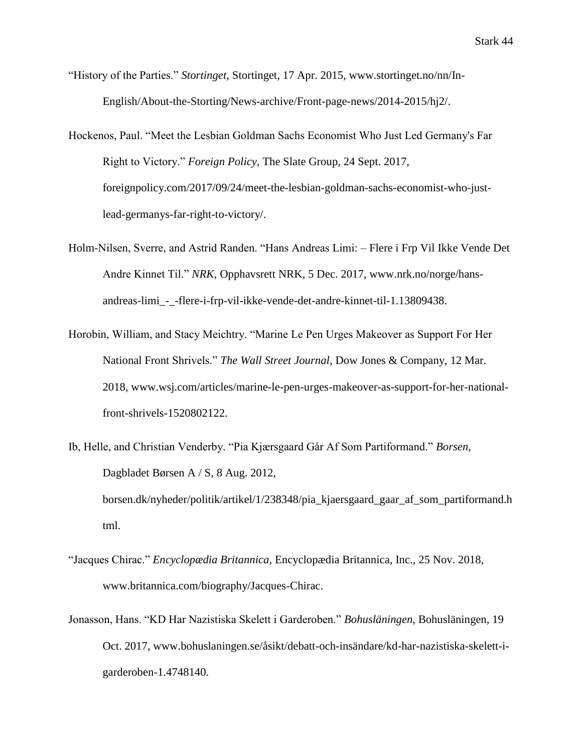- "History of the Parties." *Stortinget*, Stortinget, 17 Apr. 2015, [www.stortinget.no/nn/In-](http://www.stortinget.no/nn/In-)English/About-the-Storting/News-archive/Front-page-news/2014-2015/hj2/.
- Hockenos, Paul. "Meet the Lesbian Goldman Sachs Economist Who Just Led Germany's Far Right to Victory." *Foreign Policy*, The Slate Group, 24 Sept. 2017, foreignpolicy.com/2017/09/24/meet-the-lesbian-goldman-sachs-economist-who-justlead-germanys-far-right-to-victory/.
- Holm-Nilsen, Sverre, and Astrid Randen. "Hans Andreas Limi: Flere i Frp Vil Ikke Vende Det Andre Kinnet Til." *NRK*, Opphavsrett NRK, 5 Dec. 2017, [www.nrk.no/norge/hans](http://www.nrk.no/norge/hans-)andreas-limi\_-\_-flere-i-frp-vil-ikke-vende-det-andre-kinnet-til-1.13809438.
- Horobin, William, and Stacy Meichtry. "Marine Le Pen Urges Makeover as Support For Her National Front Shrivels." *The Wall Street Journal*, Dow Jones & Company, 12 Mar. 2018, www.wsj.com/articles/marine-le-pen-urges-makeover-as-support-for-her-nationalfront-shrivels-1520802122.
- Ib, Helle, and Christian Venderby. "Pia Kjærsgaard Går Af Som Partiformand." *Borsen*, Dagbladet Børsen A / S, 8 Aug. 2012, borsen.dk/nyheder/politik/artikel/1/238348/pia\_kjaersgaard\_gaar\_af\_som\_partiformand.h

tml.

- "Jacques Chirac." *Encyclopædia Britannica*, Encyclopædia Britannica, Inc., 25 Nov. 2018, [www.britannica.com/biography/Jacques-Chirac.](http://www.britannica.com/biography/Jacques-Chirac)
- Jonasson, Hans. "KD Har Nazistiska Skelett i Garderoben." *Bohusläningen*, Bohusläningen, 19 Oct. 2017, [www.bohuslaningen.se/åsikt/debatt-och-insändare/kd-har-nazistiska-skelett-i](http://www.bohuslaningen.se/åsikt/debatt-och-insändare/kd-har-nazistiska-skelett-i-)garderoben-1.4748140.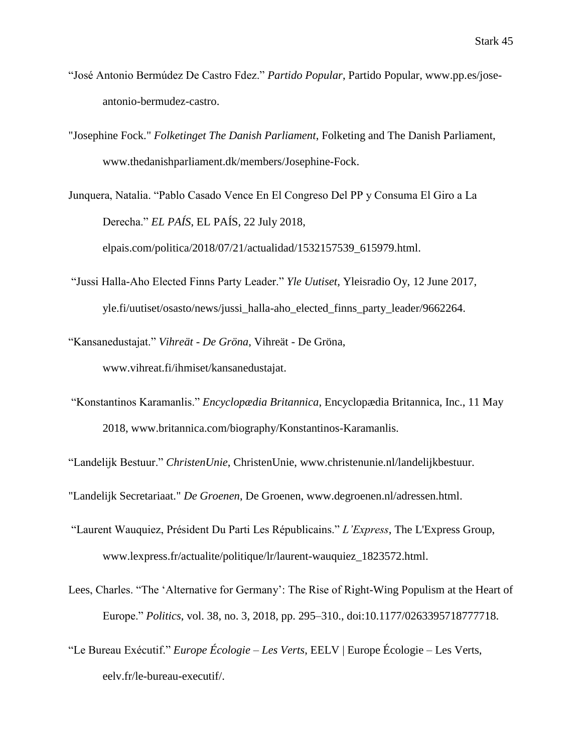- "José Antonio Bermúdez De Castro Fdez." *Partido Popular*, Partido Popular, [www.pp.es/jose](http://www.pp.es/jose-)antonio-bermudez-castro.
- "Josephine Fock." *Folketinget The Danish Parliament*, Folketing and The Danish Parliament, [www.thedanishparliament.dk/members/Josephine-Fock.](http://www.thedanishparliament.dk/members/Josephine-Fock)
- Junquera, Natalia. "Pablo Casado Vence En El Congreso Del PP y Consuma El Giro a La Derecha." *EL PAÍS*, EL PAÍS, 22 July 2018, elpais.com/politica/2018/07/21/actualidad/1532157539\_615979.html.
- "Jussi Halla-Aho Elected Finns Party Leader." *Yle Uutiset,* Yleisradio Oy, 12 June 2017, yle.fi/uutiset/osasto/news/jussi\_halla-aho\_elected\_finns\_party\_leader/9662264.
- "Kansanedustajat." *Vihreät - De Gröna*, Vihreät De Gröna, [www.vihreat.fi/ihmiset/kansanedustajat.](http://www.vihreat.fi/ihmiset/kansanedustajat)
- "Konstantinos Karamanlis." *Encyclopædia Britannica*, Encyclopædia Britannica, Inc., 11 May 2018, [www.britannica.com/biography/Konstantinos-Karamanlis.](http://www.britannica.com/biography/Konstantinos-Karamanlis)

"Landelijk Bestuur." *ChristenUnie*, ChristenUnie, [www.christenunie.nl/landelijkbestuur.](http://www.christenunie.nl/landelijkbestuur)

"Landelijk Secretariaat." *De Groenen*, De Groenen, [www.degroenen.nl/adressen.html.](http://www.degroenen.nl/adressen.html)

- "Laurent Wauquiez, Président Du Parti Les Républicains." *L'Express*, The L'Express Group, [www.lexpress.fr/actualite/politique/lr/laurent-wauquiez\\_1823572.html.](http://www.lexpress.fr/actualite/politique/lr/laurent-wauquiez_1823572.html)
- Lees, Charles. "The 'Alternative for Germany': The Rise of Right-Wing Populism at the Heart of Europe." *Politics*, vol. 38, no. 3, 2018, pp. 295–310., doi:10.1177/0263395718777718.
- "Le Bureau Exécutif." *Europe Écologie – Les Verts*, EELV | Europe Écologie Les Verts, eelv.fr/le-bureau-executif/.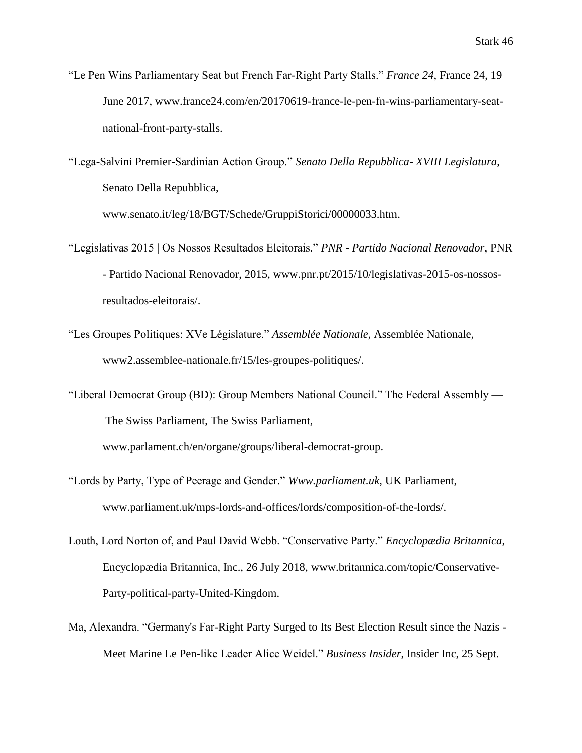"Le Pen Wins Parliamentary Seat but French Far-Right Party Stalls." *France 24*, France 24, 19 June 2017, [www.france24.com/en/20170619-france-le-pen-fn-wins-parliamentary-seat](http://www.france24.com/en/20170619-france-le-pen-fn-wins-parliamentary-seat-)national-front-party-stalls.

"Lega-Salvini Premier-Sardinian Action Group." *Senato Della Repubblica- XVIII Legislatura*, Senato Della Repubblica, [www.senato.it/leg/18/BGT/Schede/GruppiStorici/00000033.htm.](http://www.senato.it/leg/18/BGT/Schede/GruppiStorici/00000033.htm)

- "Legislativas 2015 | Os Nossos Resultados Eleitorais." *PNR - Partido Nacional Renovador*, PNR - Partido Nacional Renovador, 2015, [www.pnr.pt/2015/10/legislativas-2015-os-nossos](http://www.pnr.pt/2015/10/legislativas-2015-os-nossos-)resultados-eleitorais/.
- "Les Groupes Politiques: XVe Législature." *Assemblée Nationale*, Assemblée Nationale, www2.assemblee-nationale.fr/15/les-groupes-politiques/.
- "Liberal Democrat Group (BD): Group Members National Council." The Federal Assembly The Swiss Parliament, The Swiss Parliament,

[www.parlament.ch/en/organe/groups/liberal-democrat-group.](http://www.parlament.ch/en/organe/groups/liberal-democrat-group)

- "Lords by Party, Type of Peerage and Gender." *Www.parliament.uk*, UK Parliament, www.parliament.uk/mps-lords-and-offices/lords/composition-of-the-lords/.
- Louth, Lord Norton of, and Paul David Webb. "Conservative Party." *Encyclopædia Britannica*, Encyclopædia Britannica, Inc., 26 July 2018, [www.britannica.com/topic/Conservative-](http://www.britannica.com/topic/Conservative-)Party-political-party-United-Kingdom.
- Ma, Alexandra. "Germany's Far-Right Party Surged to Its Best Election Result since the Nazis Meet Marine Le Pen-like Leader Alice Weidel." *Business Insider*, Insider Inc, 25 Sept.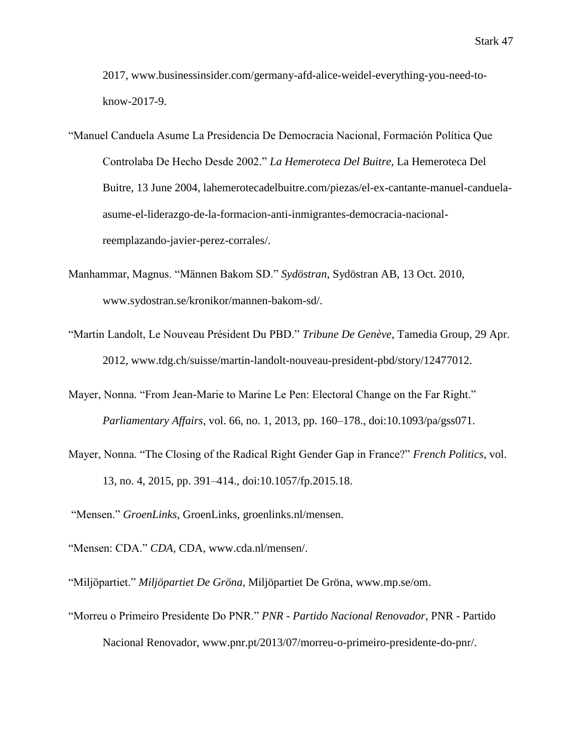2017, [www.businessinsider.com/germany-afd-alice-weidel-everything-you-need-to](http://www.businessinsider.com/germany-afd-alice-weidel-everything-you-need-to-)know-2017-9.

- "Manuel Canduela Asume La Presidencia De Democracia Nacional, Formación Política Que Controlaba De Hecho Desde 2002." *La Hemeroteca Del Buitre*, La Hemeroteca Del Buitre, 13 June 2004, lahemerotecadelbuitre.com/piezas/el-ex-cantante-manuel-canduelaasume-el-liderazgo-de-la-formacion-anti-inmigrantes-democracia-nacionalreemplazando-javier-perez-corrales/.
- Manhammar, Magnus. "Männen Bakom SD." *Sydöstran*, Sydöstran AB, 13 Oct. 2010, [www.sydostran.se/kronikor/mannen-bakom-sd/.](http://www.sydostran.se/kronikor/mannen-bakom-sd/)
- "Martin Landolt, Le Nouveau Président Du PBD." *Tribune De Genève*, Tamedia Group, 29 Apr. 2012, [www.tdg.ch/suisse/martin-landolt-nouveau-president-pbd/story/12477012.](http://www.tdg.ch/suisse/martin-landolt-nouveau-president-pbd/story/12477012)
- Mayer, Nonna. "From Jean-Marie to Marine Le Pen: Electoral Change on the Far Right." *Parliamentary Affairs*, vol. 66, no. 1, 2013, pp. 160–178., doi:10.1093/pa/gss071.
- Mayer, Nonna. "The Closing of the Radical Right Gender Gap in France?" *French Politics*, vol. 13, no. 4, 2015, pp. 391–414., doi:10.1057/fp.2015.18.

"Mensen." *GroenLinks*, GroenLinks, groenlinks.nl/mensen.

"Mensen: CDA." CDA, CDA, [www.cda.nl/mensen/.](http://www.cda.nl/mensen/)

"Miljöpartiet." *Miljöpartiet De Gröna*, Miljöpartiet De Gröna, [www.mp.se/om.](http://www.mp.se/om)

"Morreu o Primeiro Presidente Do PNR." *PNR - Partido Nacional Renovador*, PNR - Partido Nacional Renovador, [www.pnr.pt/2013/07/morreu-o-primeiro-presidente-do-pnr/.](http://www.pnr.pt/2013/07/morreu-o-primeiro-presidente-do-pnr/)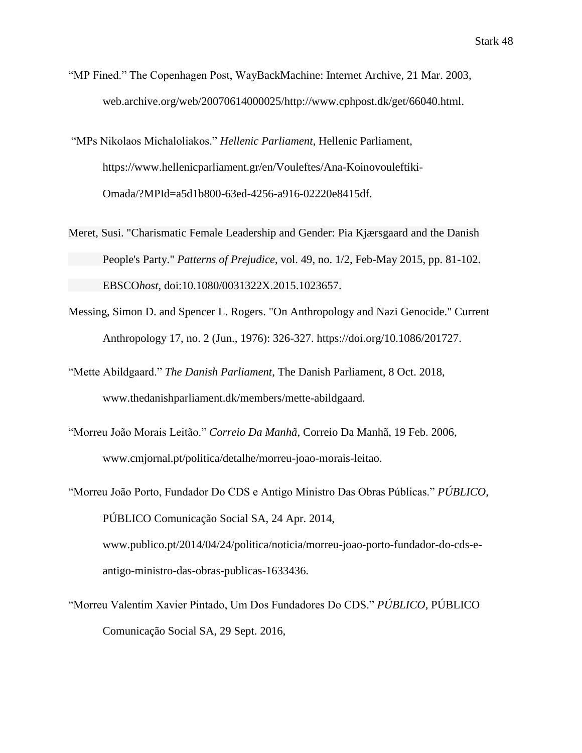- "MP Fined." The Copenhagen Post, WayBackMachine: Internet Archive, 21 Mar. 2003, web.archive.org/web/20070614000025/http://www.cphpost.dk/get/66040.html.
- "MPs Nikolaos Michaloliakos." *Hellenic Parliament*, Hellenic Parliament, <https://www.hellenicparliament.gr/en/Vouleftes/Ana-Koinovouleftiki->Omada/?MPId=a5d1b800-63ed-4256-a916-02220e8415df.
- Meret, Susi. "Charismatic Female Leadership and Gender: Pia Kjærsgaard and the Danish People's Party." *Patterns of Prejudice*, vol. 49, no. 1/2, Feb-May 2015, pp. 81-102. EBSCO*host*, doi:10.1080/0031322X.2015.1023657.
- Messing, Simon D. and Spencer L. Rogers. "On Anthropology and Nazi Genocide." Current Anthropology 17, no. 2 (Jun., 1976): 326-327. [https://doi.org/10.1086/201727.](https://doi.org/10.1086/201727)
- "Mette Abildgaard." *The Danish Parliament*, The Danish Parliament, 8 Oct. 2018, [www.thedanishparliament.dk/members/mette-abildgaard.](http://www.thedanishparliament.dk/members/mette-abildgaard)
- "Morreu João Morais Leitão." *Correio Da Manhã*, Correio Da Manhã, 19 Feb. 2006, www.cmjornal.pt/politica/detalhe/morreu-joao-morais-leitao.
- "Morreu João Porto, Fundador Do CDS e Antigo Ministro Das Obras Públicas." *PÚBLICO*, PÚBLICO Comunicação Social SA, 24 Apr. 2014, [www.publico.pt/2014/04/24/politica/noticia/morreu-joao-porto-fundador-do-cds-e](http://www.publico.pt/2014/04/24/politica/noticia/morreu-joao-porto-fundador-do-cds-e-)antigo-ministro-das-obras-publicas-1633436.
- "Morreu Valentim Xavier Pintado, Um Dos Fundadores Do CDS." *PÚBLICO*, PÚBLICO Comunicação Social SA, 29 Sept. 2016,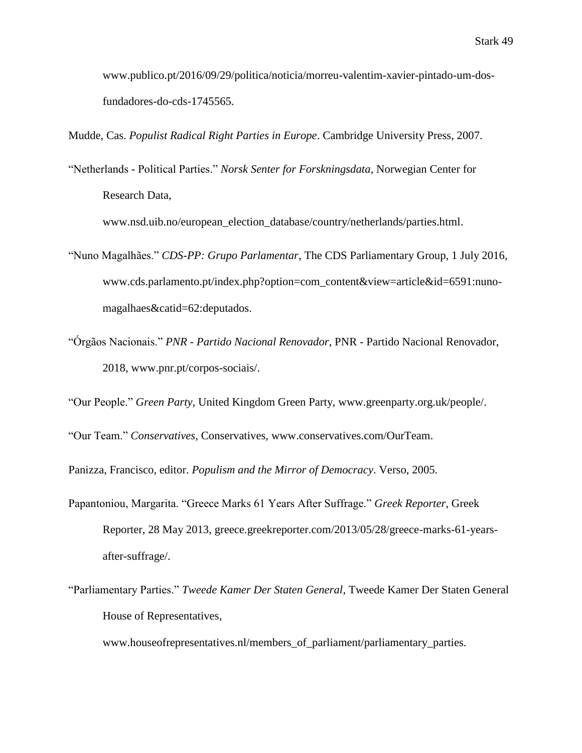[www.publico.pt/2016/09/29/politica/noticia/morreu-valentim-xavier-pintado-um-dos](http://www.publico.pt/2016/09/29/politica/noticia/morreu-valentim-xavier-pintado-um-dos-)fundadores-do-cds-1745565.

Mudde, Cas. *Populist Radical Right Parties in Europe*. Cambridge University Press, 2007.

"Netherlands - Political Parties." *Norsk Senter for Forskningsdata*, Norwegian Center for Research Data,

[www.nsd.uib.no/european\\_election\\_database/country/netherlands/parties.html.](http://www.nsd.uib.no/european_election_database/country/netherlands/parties.html)

- "Nuno Magalhães." *CDS-PP: Grupo Parlamentar*, The CDS Parliamentary Group, 1 July 2016, [www.cds.parlamento.pt/index.php?option=com\\_content&view=article&id=6591:nuno](http://www.cds.parlamento.pt/index.php?option=com_content&view=article&id=6591:nuno-)magalhaes&catid=62:deputados.
- "Órgãos Nacionais." *PNR - Partido Nacional Renovador*, PNR Partido Nacional Renovador, 2018, [www.pnr.pt/corpos-sociais/.](http://www.pnr.pt/corpos-sociais/)

"Our People." *Green Party*, United Kingdom Green Party, [www.greenparty.org.uk/people/.](http://www.greenparty.org.uk/people/)

"Our Team." *Conservatives*, Conservatives, [www.conservatives.com/OurTeam.](http://www.conservatives.com/OurTeam)

Panizza, Francisco, editor. *Populism and the Mirror of Democracy*. Verso, 2005.

- Papantoniou, Margarita. "Greece Marks 61 Years After Suffrage." *Greek Reporter*, Greek Reporter, 28 May 2013, greece.greekreporter.com/2013/05/28/greece-marks-61-yearsafter-suffrage/.
- "Parliamentary Parties." *Tweede Kamer Der Staten General*, Tweede Kamer Der Staten General House of Representatives,

www.houseofrepresentatives.nl/members\_of\_parliament/parliamentary\_parties.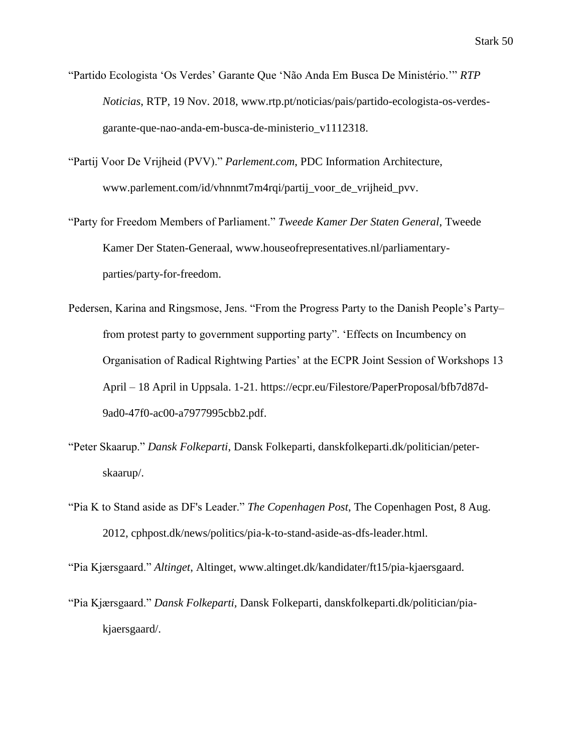- "Partido Ecologista 'Os Verdes' Garante Que 'Não Anda Em Busca De Ministério.'" *RTP Noticias*, RTP, 19 Nov. 2018, [www.rtp.pt/noticias/pais/partido-ecologista-os-verdes](http://www.rtp.pt/noticias/pais/partido-ecologista-os-verdes-)garante-que-nao-anda-em-busca-de-ministerio\_v1112318.
- "Partij Voor De Vrijheid (PVV)." *Parlement.com*, PDC Information Architecture, [www.parlement.com/id/vhnnmt7m4rqi/partij\\_voor\\_de\\_vrijheid\\_pvv.](http://www.parlement.com/id/vhnnmt7m4rqi/partij_voor_de_vrijheid_pvv)
- "Party for Freedom Members of Parliament." *Tweede Kamer Der Staten General*, Tweede Kamer Der Staten-Generaal, [www.houseofrepresentatives.nl/parliamentary](http://www.houseofrepresentatives.nl/parliamentary-)parties/party-for-freedom.
- Pedersen, Karina and Ringsmose, Jens. "From the Progress Party to the Danish People's Party– from protest party to government supporting party". 'Effects on Incumbency on Organisation of Radical Rightwing Parties' at the ECPR Joint Session of Workshops 13 April – 18 April in Uppsala. 1-21. [https://ecpr.eu/Filestore/PaperProposal/bfb7d87d-](https://ecpr.eu/Filestore/PaperProposal/bfb7d87d-%099ad0-47f0-ac00-a7977995cbb2.pdf)[9ad0-47f0-ac00-a7977995cbb2.pdf.](https://ecpr.eu/Filestore/PaperProposal/bfb7d87d-%099ad0-47f0-ac00-a7977995cbb2.pdf)
- "Peter Skaarup." *Dansk Folkeparti*, Dansk Folkeparti, danskfolkeparti.dk/politician/peterskaarup/.
- "Pia K to Stand aside as DF's Leader." *The Copenhagen Post*, The Copenhagen Post, 8 Aug. 2012, cphpost.dk/news/politics/pia-k-to-stand-aside-as-dfs-leader.html.

"Pia Kjærsgaard." *Altinget*, Altinget, [www.altinget.dk/kandidater/ft15/pia-kjaersgaard.](http://www.altinget.dk/kandidater/ft15/pia-kjaersgaard)

"Pia Kjærsgaard." *Dansk Folkeparti,* Dansk Folkeparti, danskfolkeparti.dk/politician/piakjaersgaard/.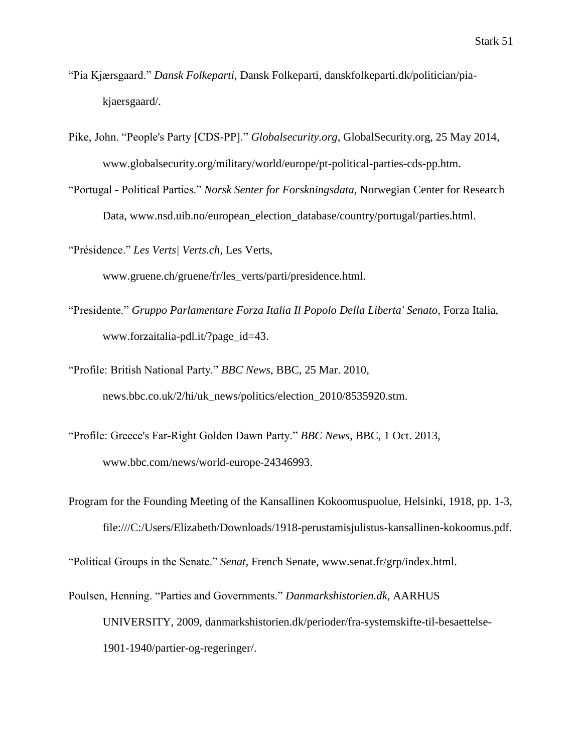- "Pia Kjærsgaard." *Dansk Folkeparti,* Dansk Folkeparti, danskfolkeparti.dk/politician/piakjaersgaard/.
- Pike, John. "People's Party [CDS-PP]." *Globalsecurity.org*, GlobalSecurity.org, 25 May 2014, www.globalsecurity.org/military/world/europe/pt-political-parties-cds-pp.htm.
- "Portugal Political Parties." *Norsk Senter for Forskningsdata,* Norwegian Center for Research Data, www.nsd.uib.no/european election database/country/portugal/parties.html.
- "Présidence." *Les Verts| Verts.ch*, Les Verts,

[www.gruene.ch/gruene/fr/les\\_verts/parti/presidence.html.](http://www.gruene.ch/gruene/fr/les_verts/parti/presidence.html)

- "Presidente." *Gruppo Parlamentare Forza Italia Il Popolo Della Liberta' Senato*, Forza Italia, [www.forzaitalia-pdl.it/?page\\_id=43.](http://www.forzaitalia-pdl.it/?page_id=43)
- "Profile: British National Party." *BBC News*, BBC, 25 Mar. 2010, news.bbc.co.uk/2/hi/uk\_news/politics/election\_2010/8535920.stm.
- "Profile: Greece's Far-Right Golden Dawn Party." *BBC News*, BBC, 1 Oct. 2013, [www.bbc.com/news/world-europe-24346993.](http://www.bbc.com/news/world-europe-24346993)
- Program for the Founding Meeting of the Kansallinen Kokoomuspuolue, Helsinki, 1918, pp. 1-3, [file:///C:/Users/Elizabeth/Downloads/1918-perustamisjulistus-kansallinen-kokoomus.pdf.](file:///C:/Users/Elizabeth/Downloads/1918-perustamisjulistus-kansallinen-kokoomus.pdf)

"Political Groups in the Senate." *Senat*, French Senate, [www.senat.fr/grp/index.html.](http://www.senat.fr/grp/index.html)

Poulsen, Henning. "Parties and Governments." *Danmarkshistorien.dk*, AARHUS UNIVERSITY, 2009, danmarkshistorien.dk/perioder/fra-systemskifte-til-besaettelse-1901-1940/partier-og-regeringer/.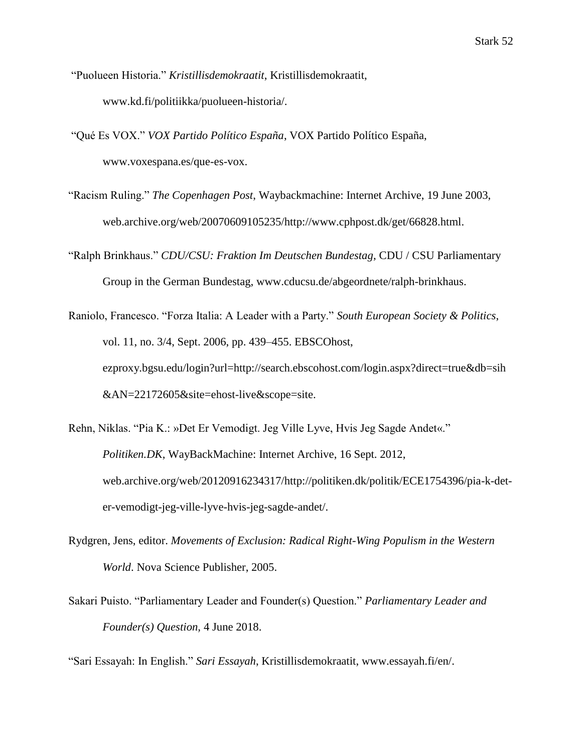- "Puolueen Historia." *Kristillisdemokraatit*, Kristillisdemokraatit, [www.kd.fi/politiikka/puolueen-h](http://www.kd.fi/politiikka/puolueen-)istoria/.
- "Qué Es VOX." *VOX Partido Político España*, VOX Partido Político España, [www.voxespana.es/que-es-vox.](http://www.voxespana.es/que-es-vox)
- "Racism Ruling." *The Copenhagen Post*, Waybackmachine: Internet Archive, 19 June 2003, web.archive.org/web/20070609105235/http://www.cphpost.dk/get/66828.html.
- "Ralph Brinkhaus." *CDU/CSU: Fraktion Im Deutschen Bundestag*, CDU / CSU Parliamentary Group in the German Bundestag, [www.cducsu.de/abgeordnete/ralph-brinkhaus.](http://www.cducsu.de/abgeordnete/ralph-brinkhaus)
- Raniolo, Francesco. "Forza Italia: A Leader with a Party." *South European Society & Politics*, vol. 11, no. 3/4, Sept. 2006, pp. 439–455. EBSCOhost, ezproxy.bgsu.edu/login?url=http://search.ebscohost.com/login.aspx?direct=true&db=sih &AN=22172605&site=ehost-live&scope=site.
- Rehn, Niklas. "Pia K.: »Det Er Vemodigt. Jeg Ville Lyve, Hvis Jeg Sagde Andet«." *Politiken.DK*, WayBackMachine: Internet Archive, 16 Sept. 2012, web.archive.org/web/20120916234317/http://politiken.dk/politik/ECE1754396/pia-k-deter-vemodigt-jeg-ville-lyve-hvis-jeg-sagde-andet/.
- Rydgren, Jens, editor. *Movements of Exclusion: Radical Right-Wing Populism in the Western World*. Nova Science Publisher, 2005.
- Sakari Puisto. "Parliamentary Leader and Founder(s) Question." *Parliamentary Leader and Founder(s) Question,* 4 June 2018.

"Sari Essayah: In English." *Sari Essayah*, Kristillisdemokraatit, [www.essayah.fi/en/.](http://www.essayah.fi/en/)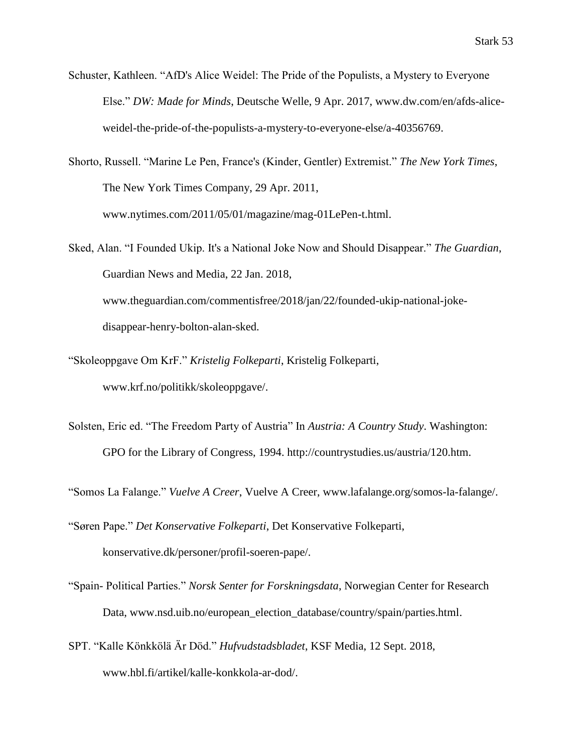Schuster, Kathleen. "AfD's Alice Weidel: The Pride of the Populists, a Mystery to Everyone Else." *DW: Made for Minds*, Deutsche Welle, 9 Apr. 2017, [www.dw.com/en/afds-alice](http://www.dw.com/en/afds-alice-)weidel-the-pride-of-the-populists-a-mystery-to-everyone-else/a-40356769.

Shorto, Russell. "Marine Le Pen, France's (Kinder, Gentler) Extremist." *The New York Times*, The New York Times Company, 29 Apr. 2011, www.nytimes.com/2011/05/01/magazine/mag-01LePen-t.html.

Sked, Alan. "I Founded Ukip. It's a National Joke Now and Should Disappear." *The Guardian*, Guardian News and Media, 22 Jan. 2018, [www.theguardian.com/commentisfree/2018/jan/22/founded-ukip-national-joke](http://www.theguardian.com/commentisfree/2018/jan/22/founded-ukip-national-joke-)disappear-henry-bolton-alan-sked.

- "Skoleoppgave Om KrF." *Kristelig Folkeparti*, Kristelig Folkeparti, [www.krf.no/politikk/skoleoppgave/.](http://www.krf.no/politikk/skoleoppgave/)
- Solsten, Eric ed. "The Freedom Party of Austria" In *Austria: A Country Study*. Washington: GPO for the Library of Congress, 1994. http://countrystudies.us/austria/120.htm.

"Somos La Falange." *Vuelve A Creer*, Vuelve A Creer, [www.lafalange.org/somos-la-falange/.](http://www.lafalange.org/somos-la-falange/)

"Søren Pape." *Det Konservative Folkeparti*, Det Konservative Folkeparti, konservative.dk/personer/profil-soeren-pape/.

- "Spain- Political Parties." *Norsk Senter for Forskningsdata*, Norwegian Center for Research Data, [www.nsd.uib.no/european\\_election\\_database/country/spain/parties.html.](http://www.nsd.uib.no/european_election_database/country/spain/parties.html)
- SPT. "Kalle Könkkölä Är Död." *Hufvudstadsbladet*, KSF Media, 12 Sept. 2018, [www.hbl.fi/artikel/kalle-konkkola-ar-dod/.](http://www.hbl.fi/artikel/kalle-konkkola-ar-dod/)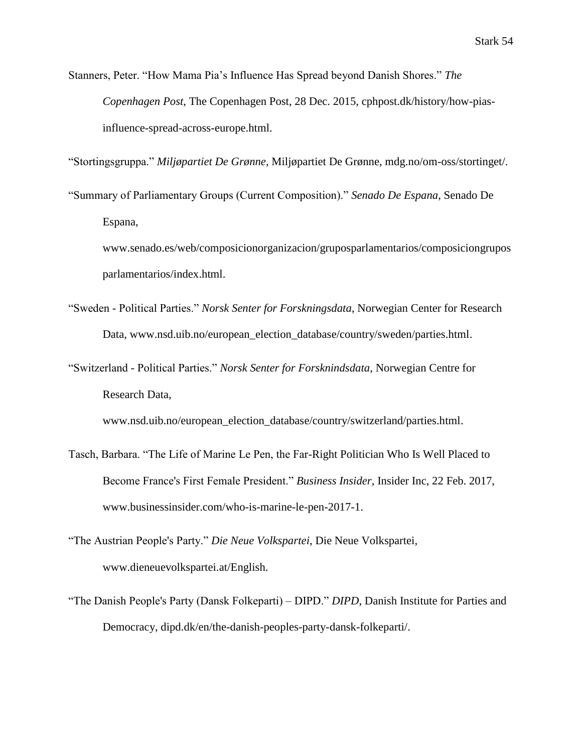Stanners, Peter. "How Mama Pia's Influence Has Spread beyond Danish Shores." *The Copenhagen Post*, The Copenhagen Post, 28 Dec. 2015, cphpost.dk/history/how-piasinfluence-spread-across-europe.html.

"Stortingsgruppa." *Miljøpartiet De Grønne*, Miljøpartiet De Grønne, mdg.no/om-oss/stortinget/.

"Summary of Parliamentary Groups (Current Composition)." *Senado De Espana*, Senado De Espana,

[www.senado.es/web/composicionorganizacion/gruposparlamentarios/composiciongrupos](http://www.senado.es/web/composicionorganizacion/gruposparlamentarios/composiciongrupos) parlamentarios/index.html.

- "Sweden Political Parties." *Norsk Senter for Forskningsdata*, Norwegian Center for Research Data, [www.nsd.uib.no/european\\_election\\_database/country/sweden/parties.html.](http://www.nsd.uib.no/european_election_database/country/sweden/parties.html)
- "Switzerland Political Parties." *Norsk Senter for Forsknindsdata*, Norwegian Centre for Research Data,

[www.nsd.uib.no/european\\_election\\_database/country/switzerland/parties.html.](http://www.nsd.uib.no/european_election_database/country/switzerland/parties.html)

- Tasch, Barbara. "The Life of Marine Le Pen, the Far-Right Politician Who Is Well Placed to Become France's First Female President." *Business Insider*, Insider Inc, 22 Feb. 2017, www.businessinsider.com/who-is-marine-le-pen-2017-1.
- "The Austrian People's Party." *Die Neue Volkspartei*, Die Neue Volkspartei, [www.dieneuevolkspartei.at/English.](http://www.dieneuevolkspartei.at/English)
- "The Danish People's Party (Dansk Folkeparti) DIPD." *DIPD*, Danish Institute for Parties and Democracy, dipd.dk/en/the-danish-peoples-party-dansk-folkeparti/.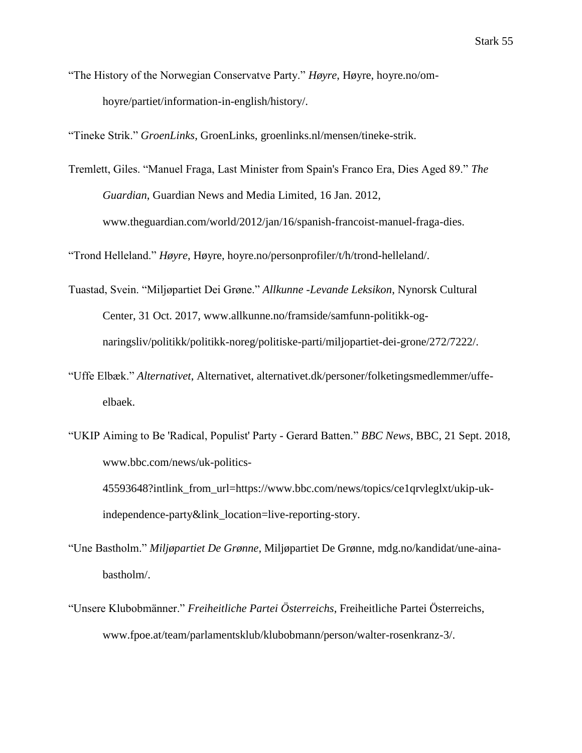"The History of the Norwegian Conservatve Party." *Høyre*, Høyre, hoyre.no/omhoyre/partiet/information-in-english/history/.

"Tineke Strik." *GroenLinks*, GroenLinks, groenlinks.nl/mensen/tineke-strik.

Tremlett, Giles. "Manuel Fraga, Last Minister from Spain's Franco Era, Dies Aged 89." *The Guardian*, Guardian News and Media Limited, 16 Jan. 2012, [www.theguardian.com/world/2012/jan/16/spanish-francoist-manuel-fraga-dies.](http://www.theguardian.com/world/2012/jan/16/spanish-francoist-manuel-fraga-dies)

"Trond Helleland." *Høyre*, Høyre, hoyre.no/personprofiler/t/h/trond-helleland/.

- Tuastad, Svein. "Miljøpartiet Dei Grøne." *Allkunne -Levande Leksikon*, Nynorsk Cultural Center, 31 Oct. 2017, [www.allkunne.no/framside/samfunn-politikk-og](http://www.allkunne.no/framside/samfunn-politikk-og-)naringsliv/politikk/politikk-noreg/politiske-parti/miljopartiet-dei-grone/272/7222/.
- "Uffe Elbæk." *Alternativet*, Alternativet, alternativet.dk/personer/folketingsmedlemmer/uffeelbaek.
- "UKIP Aiming to Be 'Radical, Populist' Party Gerard Batten." *BBC News*, BBC, 21 Sept. 2018, [www.bbc.com/news/uk-politics-](http://www.bbc.com/news/uk-politics-)45593648?intlink\_from\_url=https://www.bbc.com/news/topics/ce1qrvleglxt/ukip-ukindependence-party&link\_location=live-reporting-story.
- "Une Bastholm." *Miljøpartiet De Grønne*, Miljøpartiet De Grønne, mdg.no/kandidat/une-ainabastholm/.
- "Unsere Klubobmänner." *Freiheitliche Partei Österreichs*, Freiheitliche Partei Österreichs, [www.fpoe.at/team/parlamentsklub/klubobmann/person/walter-rosenkranz-3/.](http://www.fpoe.at/team/parlamentsklub/klubobmann/person/walter-rosenkranz-3/)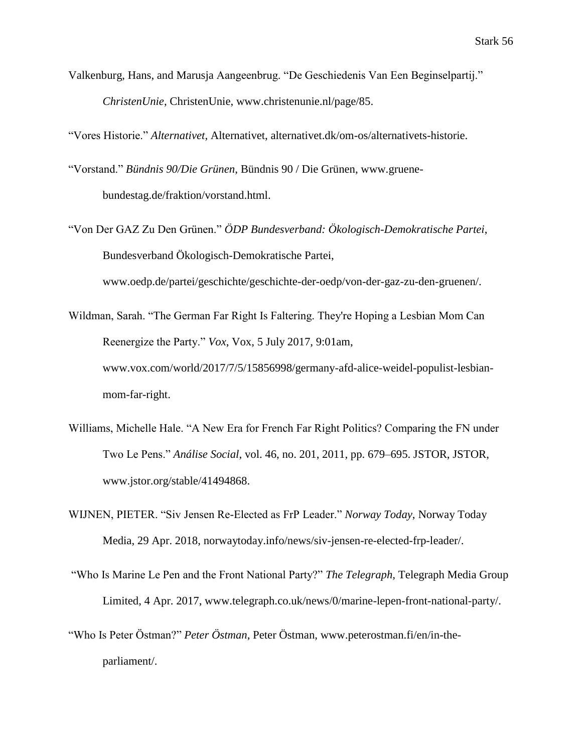Valkenburg, Hans, and Marusja Aangeenbrug. "De Geschiedenis Van Een Beginselpartij." *ChristenUnie*, ChristenUnie, [www.christenunie.nl/page/85.](http://www.christenunie.nl/page/85)

"Vores Historie." *Alternativet*, Alternativet, alternativet.dk/om-os/alternativets-historie.

- "Vorstand." *Bündnis 90/Die Grünen*, Bündnis 90 / Die Grünen, [www.gruene](http://www.gruene-/)bundestag.de/fraktion/vorstand.html.
- "Von Der GAZ Zu Den Grünen." *ÖDP Bundesverband: Ökologisch-Demokratische Partei*, Bundesverband Ökologisch-Demokratische Partei,

www.oedp.de/partei/geschichte/geschichte-der-oedp/von-der-gaz-zu-den-gruenen/.

- Wildman, Sarah. "The German Far Right Is Faltering. They're Hoping a Lesbian Mom Can Reenergize the Party." *Vox*, Vox, 5 July 2017, 9:01am, www.vox.com/world/2017/7/5/15856998/germany-afd-alice-weidel-populist-lesbianmom-far-right.
- Williams, Michelle Hale. "A New Era for French Far Right Politics? Comparing the FN under Two Le Pens." *Análise Social*, vol. 46, no. 201, 2011, pp. 679–695. JSTOR, JSTOR, [www.jstor.org/stable/41494868.](http://www.jstor.org/stable/41494868)
- WIJNEN, PIETER. "Siv Jensen Re-Elected as FrP Leader." *Norway Today*, Norway Today Media, 29 Apr. 2018, norwaytoday.info/news/siv-jensen-re-elected-frp-leader/.
- "Who Is Marine Le Pen and the Front National Party?" *The Telegraph*, Telegraph Media Group Limited, 4 Apr. 2017, www.telegraph.co.uk/news/0/marine-lepen-front-national-party/.
- "Who Is Peter Östman?" *Peter Östman*, Peter Östman, [www.peterostman.fi/en/in-the](http://www.peterostman.fi/en/in-the-)parliament/.